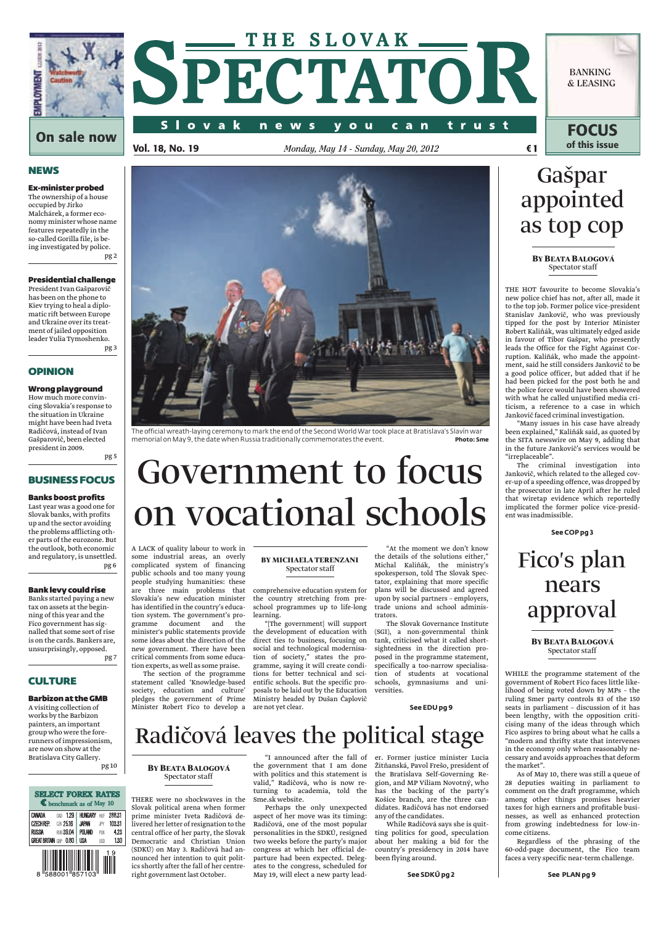

# THE SLOVAK \_\_\_\_ SPECTATOR

y o u

c a n

trust

n e w s

**BANKING & LEASING**

**FOCUS**

**NEWS** 

Ex-minister probed The ownership of a house occupied by Jirko Malchárek, a former economy minister whose name features repeatedly in the so-called Gorilla file, is being investigated by police. pg 2

## Presidential challenge

President Ivan Gašparovič has been on the phone to Kiev trying to heal a diplomatic rift between Europe and Ukraine over its treatment of jailed opposition leader Yulia Tymoshenko. pg 3

## OPINION

## Wrong playground

How much more convincing Slovakia's response to the situation in Ukraine might have been had Iveta Radičová, instead of Ivan Gašparovič, been elected president in 2009.

pg 5

## BUSINESS FOCUS

## Banks boost profits

Last year was a good one for Slovak banks, with profits up and the sector avoiding the problems afflicting other parts of the eurozone. But the outlook, both economic and regulatory, is unsettled. pg 6

## Bank levy could rise

Banks started paying a new tax on assets at the beginning of this year and the Fico government has signalled that some sort of rise is on the cards. Bankers are, unsurprisingly, opposed. pg 7

## **CULTURE**

## Barbizon at the GMB

A visiting collection of works by the Barbizon painters, an important group who were the forerunners of impressionism, are now on show at the Bratislava City Gallery. pg 10





The official wreath-laying ceremony to mark the end of the Second World War took place at Bratislava's Slavín war memorial on May 9, the date when Russia traditionally commemorates the event. **Photo: Sme**

# Government to focus on vocational schools

A LACK of quality labour to work in some industrial areas, an overly complicated system of financing public schools and too many young people studying humanities: these are three main problems that comprehensive education system for Slovakia's new education minister has identified in the country's education system. The government's pro-<br>gramme document and the document and the minister's public statements provide some ideas about the direction of the new government. There have been critical comments from some education experts, as well as some praise.

The section of the programme statement called 'Knowledge-based society, education and culture' pledges the government of Prime Minister Robert Fico to develop a are not yet clear.

## **BY MICHAELA TERENZANI** Spectator staff

the country stretching from preschool programmes up to life-long learning.

"[The government] will support the development of education with direct ties to business, focusing on social and technological modernisation of society," states the programme, saying it will create conditions for better technical and scientific schools. But the specific proposals to be laid out by the Education Ministry headed by Dušan Čaplovič

"At the moment we don't know the details of the solutions either," Michal Kaliňák, the ministry's spokesperson, told The Slovak Spectator, explaining that more specific plans will be discussed and agreed upon by social partners – employers, trade unions and school administrators.

The Slovak Governance Institute (SGI), a non-governmental think tank, criticised what it called shortsightedness in the direction proposed in the programme statement, specifically a too-narrow specialisation of students at vocational schools, gymnasiums and universities.

## **See EDU pg 9**

## Radičová leaves the political stage

**BYBEATA BALOGOVÁ** Spectator staff

THERE were no shockwaves in the Slovak political arena when former prime minister Iveta Radičová delivered her letter of resignation to the central office of her party, the Slovak Democratic and Christian Union (SDKÚ) on May 3. Radičová had announced her intention to quit politics shortly after the fall of her centreright government last October.

"I announced after the fall of the government that I am done with politics and this statement is valid," Radičová, who is now returning to academia, told the Sme.sk website.

Perhaps the only unexpected aspect of her move was its timing: Radičová, one of the most popular personalities in the SDKÚ, resigned two weeks before the party's major congress at which her official departure had been expected. Delegates to the congress, scheduled for May 19, will elect a new party lead-

er. Former justice minister Lucia Žitňanská, Pavol Frešo, president of the Bratislava Self-Governing Region, and MP Viliam Novotný, who has the backing of the party's Košice branch, are the three candidates. Radičová has not endorsed any of the candidates.

While Radičová says she is quitting politics for good, speculation about her making a bid for the country's presidency in 2014 have been flying around.

# Gašpar appointed as top cop

**BYBEATA BALOGOVÁ** Spectator staff

THE HOT favourite to become Slovakia's new police chief has not, after all, made it to the top job. Former police vice-president Stanislav Jankovič, who was previously tipped for the post by Interior Minister Robert Kaliňák, was ultimately edged aside in favour of Tibor Gašpar, who presently leads the Office for the Fight Against Corruption. Kaliňák, who made the appointment, said he still considers Jankovič to be a good police officer, but added that if he had been picked for the post both he and the police force would have been showered with what he called unjustified media criticism, a reference to a case in which Jankovič faced criminal investigation.

"Many issues in his case have already been explained," Kaliňák said, as quoted by the SITA newswire on May 9, adding that in the future Jankovič's services would be "irreplaceable".

The criminal investigation into Jankovič, which related to the alleged cover-up of a speeding offence, was dropped by the prosecutor in late April after he ruled that wiretap evidence which reportedly implicated the former police vice-president was inadmissible.

**See COP pg 3**

# Fico's plan nears approval

## **BYBEATA BALOGOVÁ** Spectator staff

WHILE the programme statement of the government of Robert Fico faces little likelihood of being voted down by MPs – the ruling Smer party controls 83 of the 150 seats in parliament – discussion of it has been lengthy, with the opposition criticising many of the ideas through which Fico aspires to bring about what he calls a "modern and thrifty state that intervenes in the economy only when reasonably necessary and avoids approaches that deform the market".

As of May 10, there was still a queue of 28 deputies waiting in parliament to comment on the draft programme, which among other things promises heavier taxes for high earners and profitable businesses, as well as enhanced protection from growing indebtedness for low-income citizens.

Regardless of the phrasing of the 60-odd-page document, the Fico team faces a very specific near-term challenge.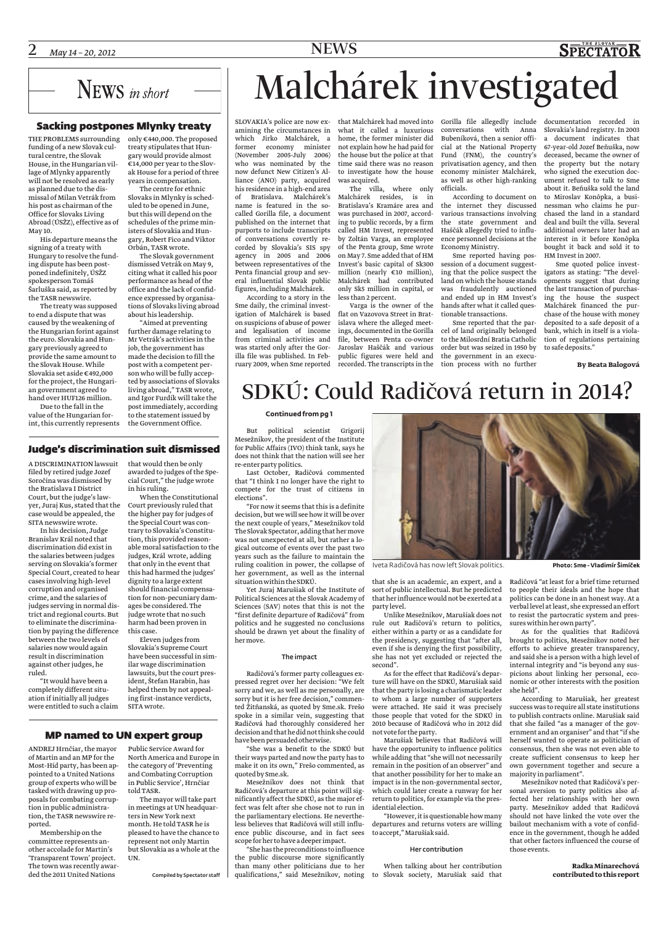

## Sacking postpones Mlynky treaty

THE PROBLEMS surrounding only €440,000. The proposed funding of a new Slovak cultural centre, the Slovak House, in the Hungarian village of Mlynky apparently will not be resolved as early as planned due to the dismissal of Milan Vetrák from his post as chairman of the Office for Slovaks Living Abroad (ÚSŽZ), effective as of May 10.

His departure means the signing of a treaty with Hungary to resolve the funding dispute has been postponed indefinitely, ÚSŽZ spokesperson Tomáš Šarluška said, as reported by the TASR newswire.

The treaty was supposed to end a dispute that was caused by the weakening of the Hungarian forint against the euro. Slovakia and Hungary previously agreed to provide the same amount to the Slovak House. While Slovakia set aside €492,000 for the project, the Hungarian government agreed to hand over HUF126 million. Due to the fall in the

value of the Hungarian forint, this currently represents

treaty stipulates that Hungary would provide almost  $\epsilon$ 14,000 per year to the Slovak House for a period of three years in compensation.

The centre for ethnic Slovaks in Mlynky is scheduled to be opened in June, but this will depend on the schedules of the prime ministers of Slovakia and Hungary, Robert Fico and Viktor Orbán, TASR wrote.

The Slovak government dismissed Vetrák on May 9, citing what it called his poor performance as head of the office and the lack of confidence expressed by organisations of Slovaks living abroad about his leadership.

"Aimed at preventing further damage relating to Mr Vetrák's activities in the job, the government has made the decision to fill the post with a competent person who will be fully accepted by associations of Slovaks living abroad," TASR wrote, and Igor Furdík will take the post immediately, according to the statement issued by the Government Office.

## Judge's discrimination suit dismissed

A DISCRIMINATION lawsuit filed by retired judge Jozef Soročina was dismissed by the Bratislava I District Court, but the judge's lawyer, Juraj Kus, stated that the case would be appealed, the SITA newswire wrote.

In his decision, Judge Branislav Král noted that discrimination did exist in the salaries between judges serving on Slovakia's former Special Court, created to hear cases involving high-level corruption and organised crime, and the salaries of judges serving in normal district and regional courts. But to eliminate the discrimination by paying the difference between the two levels of salaries now would again result in discrimination against other judges, he ruled.

"It would have been a completely different situation if initially all judges were entitled to such a claim

## that would then be only awarded to judges of the Spe-

cial Court," the judge wrote in his ruling.

When the Constitutional Court previously ruled that the higher pay for judges of the Special Court was contrary to Slovakia's Constitution, this provided reasonable moral satisfaction to the judges, Král wrote, adding that only in the event that this had harmed the judges' dignity to a large extent should financial compensation for non-pecuniary damages be considered. The judge wrote that no such harm had been proven in this case.

Eleven judges from Slovakia's Supreme Court have been successful in similar wage discrimination lawsuits, but the court president, Štefan Harabin, has helped them by not appealing first-instance verdicts, SITA wrote.

## MP named to UN expert group

ANDREJ Hrnčiar, the mayor Public Service Award for of Martin and an MP for the Most-Híd party, has been appointed to a United Nations group of experts who will be tasked with drawing up proposals for combating corruption in public administration, the TASR newswire reported.

Membership on the committee represents another accolade for Martin's 'Transparent Town' project. The town was recently awarded the 2011 United Nations

North America and Europe in the category of 'Preventing and Combating Corruption in Public Service', Hrnčiar told TASR.

The mayor will take part in meetings at UN headquarters in New York next month. He told TASR he is pleased to have the chance to represent not only Martin but Slovakia as a whole at the UN.

Compiled by Spectator staff

# Malchárek investigated

SLOVAKIA's police are now ex-that Malchárek had moved into Gorilla file allegedly include documentation recorded in amining the circumstances in which Jirko Malchárek, a home, the former minister did former economy minister (November 2005-July 2006) who was nominated by the now defunct New Citizen's Alliance (ANO) party, acquired his residence in a high-end area of Bratislava. Malchárek's name is featured in the socalled Gorilla file, a document published on the internet that purports to include transcripts of conversations covertly recorded by Slovakia's SIS spy agency in 2005 and 2006 between representatives of the Penta financial group and several influential Slovak public figures, including Malchárek.

According to a story in the Sme daily, the criminal investigation of Malchárek is based on suspicions of abuse of power and legalisation of income from criminal activities and was started only after the Gorilla file was published. In Feb-

what it called a luxurious not explain how he had paid for the house but the police at that time said there was no reason to investigate how the house was acquired.

The villa, where only Malchárek resides, is in Bratislava's Kramáre area and was purchased in 2007, according to public records, by a firm called HM Invest, represented by Zoltán Varga, an employee of the Penta group, Sme wrote on May 7. Sme added that of HM Invest's basic capital of Sk300 million (nearly €10 million), Malchárek had contributed only Sk5 million in capital, or less than 2 percent.

ruary 2009, when Sme reported recorded. The transcripts in the tion process with no further Varga is the owner of the flat on Vazovova Street in Bratislava where the alleged meetings, documented in the Gorilla file, between Penta co-owner Jaroslav Haščák and various public figures were held and

conversations with Anna Bubeníková, then a senior official at the National Property Fund (FNM), the country's privatisation agency, and then economy minister Malchárek, as well as other high-ranking officials.

According to document on the internet they discussed various transactions involving the state government and Haščák allegedly tried to influence personnel decisions at the Economy Ministry.

Sme reported having possession of a document suggesting that the police suspect the land on which the house stands was fraudulently auctioned and ended up in HM Invest's hands after what it called questionable transactions.

Sme reported that the parcel of land originally belonged to the Milosrdní Bratia Catholic order but was seized in 1950 by the government in an execu-

Slovakia's land registry. In 2003 a document indicates that 67-year-old Jozef Beňuška, now deceased, became the owner of the property but the notary who signed the execution document refused to talk to Sme about it. Beňuška sold the land to Miroslav Konôpka, a businessman who claims he purchased the land in a standard deal and built the villa. Several additional owners later had an interest in it before Konôpka bought it back and sold it to HM Invest in 2007.

**SPECTATOR** 

Sme quoted police investigators as stating: "The developments suggest that during the last transaction of purchasing the house the suspect Malchárek financed the purchase of the house with money deposited to a safe deposit of a bank, which in itself is a violation of regulations pertaining to safe deposits."

**By Beata Balogová**

## SDKÚ: Could Radičová return in 2014?

### **Continued from pg 1**

But political scientist Grigorij Mesežnikov, the president of the Institute for Public Affairs (IVO) think tank, says he does not think that the nation will see her re-enter party politics.

Last October, Radičová commented that "I think I no longer have the right to compete for the trust of citizens in elections".

"For now it seems that this is a definite decision, but we will see how it will be over the next couple of years," Mesežnikov told The Slovak Spectator, adding that her move was not unexpected at all, but rather a logical outcome of events over the past two years such as the failure to maintain the ruling coalition in power, the collapse of her government, as well as the internal situationwithin the SDKÚ.

Yet Juraj Marušiak of the Institute of Political Sciences at the Slovak Academy of Sciences (SAV) notes that this is not the "first definite departure of Radičová" from politics and he suggested no conclusions should be drawn yet about the finality of hermove.

### The impact

Radičová's former party colleagues expressed regret over her decision: "We felt sorry and we, as well as me personally, are sorry but it is her free decision," commented Žitňanská, as quoted by Sme.sk. Frešo spoke in a similar vein, suggesting that Radičová had thoroughly considered her decision and that he did not think she could have been persuaded otherwise.

"She was a benefit to the SDKÚ but their ways parted and now the party has to make it on its own," Frešo commented, as quoted by Sme.sk.

Mesežnikov does not think that Radičová's departure at this point will significantly affect the SDKÚ, as the major effect was felt after she chose not to run in the parliamentary elections. He nevertheless believes that Radičová will still influence public discourse, and in fact sees scope for her to have a deeperimpact.

"She has the preconditions toinfluence the public discourse more significantly than many other politicians due to her



Iveta Radičová has now left Slovak politics. **Photo: Sme - Vladimír Šimíček**

that she is an academic, an expert, and a sort of public intellectual. But he predicted that herinfluence would not be exerted at a partylevel.

Unlike Mesežnikov, Marušiak does not rule out Radičová's return to politics, either within a party or as a candidate for the presidency, suggesting that "after all, even if she is denying the first possibility, she has not yet excluded or rejected the second".

As for the effect that Radičová's departure will have on the SDKÚ, Marušiak said that the party is losing a charismatic leader to whom a large number of supporters were attached. He said it was precisely those people that voted for the SDKÚ in 2010 because of Radičová who in 2012 did not vote for the party.

Marušiak believes that Radičová will have the opportunity to influence politics consensus, then she was not even able to while adding that "she will not necessarily remain in the position of an observer" and that another possibility for her to make an impact is in the non-governmental sector, which could later create a runway for her return to politics, for example via the presidential election.

"However, it is questionable how many departures and returns voters are willing to accept,"Marušiak said.

## Her contribution

qualifications," said Mesežnikov, noting to Slovak society, Marušiak said that When talking about her contribution

Radičová "at least for a brief time returned to people their ideals and the hope that politics can be done in an honest way. At a verbal level at least, she expressed an effort to resist the partocratic system and pressures within her own party".

As for the qualities that Radičová brought to politics, Mesežnikov noted her efforts to achieve greater transparency, and said she is a person with a high level of internal integrity and "is beyond any suspicions about linking her personal, economic or other interests with the position she held".

According to Marušiak, her greatest success was to require all state institutions to publish contracts online. Marušiak said that she failed "as a manager of the government and an organiser" and that "if she herself wanted to operate as politician of create sufficient consensus to keep her own government together and secure a majorityin parliament".

Mesežnikov noted that Radičová's personal aversion to party politics also affected her relationships with her own party. Mesežnikov added that Radičová should not have linked the vote over the bailout mechanism with a vote of confidence in the government, though he added that other factors influenced the course of those events.

> **Radka Minarechová contributed to this report**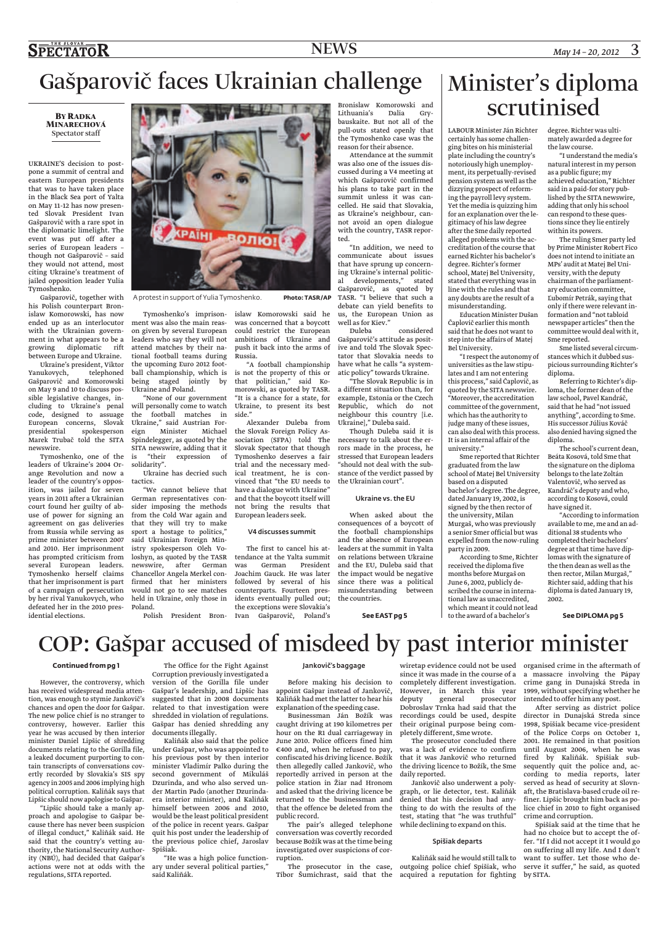# Gašparovič faces Ukrainian challenge

## **BYRADKA MINARECHOVÁ** Spectator staff

UKRAINE'S decision to postpone a summit of central and eastern European presidents that was to have taken place in the Black Sea port of Yalta on May 11-12 has now presented Slovak President Ivan Gašparovič with a rare spot in the diplomatic limelight. The event was put off after a series of European leaders – though not Gašparovič – said they would not attend, most citing Ukraine's treatment of jailed opposition leader Yulia Tymoshenko.

Gašparovič, together with his Polish counterpart Bronislaw Komorowski, has now ended up as an interlocutor with the Ukrainian government in what appears to be a growing diplomatic rift between Europe and Ukraine.

Ukraine's president, Viktor Yanukovych, telephoned Gašparovič and Komorowski on May 9 and 10 to discuss possible legislative changes, including to Ukraine's penal code, designed to assuage European concerns, Slovak presidential spokesperson Marek Trubač told the SITA newswire.

Tymoshenko, one of the leaders of Ukraine's 2004 Orange Revolution and now a leader of the country's opposition, was jailed for seven years in 2011 after a Ukrainian court found her guilty of abuse of power for signing an agreement on gas deliveries from Russia while serving as prime minister between 2007 and 2010. Her imprisonment has prompted criticism from several European leaders. Tymoshenko herself claims that her imprisonment is part of a campaign of persecution by her rival Yanukovych, who defeated her in the 2010 presidential elections.



Russia.

side."

"A football championship

morowski, as quoted by TASR. "It is a chance for a state, for Ukraine, to present its best

Alexander Duleba from the Slovak Foreign Policy Association (SFPA) told The Slovak Spectator that though Tymoshenko deserves a fair trial and the necessary medical treatment, he is convinced that "the EU needs to have a dialogue with Ukraine" and that the boycott itself will not bring the results that European leaders seek.

V4 discusses summit

The first to cancel his attendance at the Yalta summit<br>was German President German President Joachim Gauck. He was later followed by several of his counterparts. Fourteen presidents eventually pulled out; the exceptions were Slovakia's

A protest in support of Yulia Tymoshenko. **Photo: TASR/AP** 

Tymoshenko's imprison-islaw Komorowski said he ment was also the main reason given by several European leaders who say they will not attend matches by their national football teams during the upcoming Euro 2012 football championship, which is is not the property of this or being staged jointly by Ukraine and Poland. that politician," said Ko-

"None of our government will personally come to watch the football matches in Ukraine," said Austrian Foreign Minister Michael Spindelegger, as quoted by the SITA newswire, adding that it is "their expression of solidarity".

Ukraine has decried such tactics.

"We cannot believe that German representatives consider imposing the methods from the Cold War again and that they will try to make sport a hostage to politics," said Ukrainian Foreign Ministry spokesperson Oleh Voloshyn, as quoted by the TASR newswire, after German Chancellor Angela Merkel confirmed that her ministers would not go to see matches held in Ukraine, only those in Poland.

Polish President Bron-Ivan Gašparovič, Poland's

communicate about issues that have sprung up concerning Ukraine's internal political developments," stated Gašparovič, as quoted by TASR. "I believe that such a debate can yield benefits to

ted.

was concerned that a boycott could restrict the European ambitions of Ukraine and push it back into the arms of us, the European Union as well as for Kiev."  $\emph{considered}$ Gašparovič's attitude as posit-

ive and told The Slovak Spectator that Slovakia needs to have what he calls "a systematic policy" towards Ukraine.

Bronislaw Komorowski and<br>Lithuania's Dalia Gry-Lithuania's Dalia Grybauskaite. But not all of the pull-outs stated openly that the Tymoshenko case was the reason for their absence.

Attendance at the summit was also one of the issues discussed during a V4 meeting at which Gašparovič confirmed his plans to take part in the summit unless it was cancelled. He said that Slovakia, as Ukraine's neighbour, cannot avoid an open dialogue with the country, TASR repor-

"In addition, we need to

"The Slovak Republic is in a different situation than, for example, Estonia or the Czech Republic, which do not neighbour this country [i.e. Ukraine]," Duleba said.

Though Duleba said it is necessary to talk about the errors made in the process, he stressed that European leaders "should not deal with the substance of the verdict passed by the Ukrainian court".

### Ukraine vs. the EU

When asked about the consequences of a boycott of the football championships and the absence of European leaders at the summit in Yalta on relations between Ukraine and the EU, Duleba said that the impact would be negative since there was a political misunderstanding between the countries.

**See EAST pg 5**

## Minister's diploma scrutinised

LABOUR Minister Ján Richter certainly has some challenging bites on his ministerial plate including the country's notoriously high unemployment, its perpetually-revised pension system as well as the dizzying prospect of reforming the payroll levy system. Yet the media is quizzing him for an explanation over the legitimacy of his law degree after the Sme daily reported alleged problems with the accreditation of the course that earned Richter his bachelor's degree. Richter's former school, Matej Bel University, stated that everything was in line with the rules and that any doubts are the result of a misunderstanding.

Education Minister Dušan Čaplovič earlier this month said that he does not want to step into the affairs of Matej Bel University.

"I respect the autonomy of universities as the law stipulates and I am not entering this process," said Čaplovič, as quoted by the SITA newswire. "Moreover, the accreditation committee of the government, which has the authority to judge many of these issues, can also deal with this process. It is an internal affair of the university."

Sme reported that Richter graduated from the law school of Matej Bel University based on a disputed bachelor's degree. The degree, dated January 19, 2002, is signed by the then rector of the university, Milan Murgaš, who was previously a senior Smer official but was expelled from the now-ruling party in 2009.

According to Sme, Richter received the diploma five months before Murgaš on June 6, 2002, publicly described the course in international law as unaccredited, which meant it could not lead to the award of a bachelor's

degree. Richter was ultimately awarded a degree for the law course.

"I understand the media's natural interest in my person as a public figure; my achieved education," Richter said in a paid-for story published by the SITA newswire, adding that only his school can respond to these questions since they lie entirely within its powers.

The ruling Smer party led by Prime Minister Robert Fico does not intend to initiate an MPs' audit at Matej Bel University, with the deputy chairman of the parliamentary education committee, Ľubomír Petrák, saying that only if there were relevant information and "not tabloid newspaper articles" then the committee would deal with it, Sme reported.

Sme listed several circumstances which it dubbed suspicious surrounding Richter's diploma.

Referring to Richter's diploma, the former dean of the law school, Pavel Kandráč, said that he had "not issued anything", according to Sme. His successor Július Kováč also denied having signed the diploma.

The school's current dean, Beáta Kosová, told Sme that the signature on the diploma belongs to the late Zoltán Valentovič, who served as Kandráč's deputy and who, according to Kosová, could have signed it.

"According to information available to me, me and an additional 38 students who completed their bachelors' degree at that time have diplomas with the signature of the then dean as well as the then rector, Milan Murgaš," Richter said, adding that his diploma is dated January 19, 2002.

**See DIPLOMA pg 5**

# COP: Gašpar accused of misdeed by past interior minister

### **Continued from pg 1**

However, the controversy, which has received widespread media attention, was enough to stymie Jankovič's chances and open the door for Gašpar. The new police chief is no stranger to controversy, however. Earlier this year he was accused by then interior minister Daniel Lipšic of shredding documents relating to the Gorilla file, a leaked document purporting to contain transcripts of conversations covertly recorded by Slovakia's SIS spy agency in 2005 and 2006 implying high political corruption. Kaliňák says that Lipšic should now apologise to Gašpar.

"Lipšic should take a manly approach and apologise to Gašpar because there has never been suspicion of illegal conduct," Kaliňák said. He said that the country's vetting authority, the National Security Authority (NBÚ), had decided that Gašpar's actions were not at odds with the ary under several political parties," regulations, SITA reported.

The Office for the Fight Against Corruption previously investigated a version of the Gorilla file under Gašpar's leadership, and Lipšic has suggested that in 2008 documents related to that investigation were shredded in violation of regulations. Gašpar has denied shredding any documents illegally.

Kaliňák also said that the police under Gašpar, who was appointed to his previous post by then interior minister Vladimír Palko during the second government of Mikuláš Dzurinda, and who also served under Martin Pado (another Dzurindaera interior minister), and Kaliňák himself between 2006 and 2010, would be the least political president of the police in recent years. Gašpar quit his post under the leadership of the previous police chief, Jaroslav Spišiak.

"He was a high police functionsaid Kaliňák.

### Jankovič's baggage

Before making his decision to appoint Gašpar instead of Jankovič, Kaliňák had met the latter to hear his explanation of the speeding case.

Businessman Ján Božík was caught driving at 190 kilometres per hour on the R1 dual carriageway in June 2010. Police officers fined him €400 and, when he refused to pay, confiscated his driving licence. Božík then allegedly called Jankovič, who reportedly arrived in person at the police station in Žiar nad Hronom and asked that the driving licence be returned to the businessman and that the offence be deleted from the public record.

The pair's alleged telephone conversation was covertly recorded because Božík was at the time being investigated over suspicions of corruption.

The prosecutor in the case, Tibor Šumichrast, said that the

wiretap evidence could not be used organised crime in the aftermath of since it was made in the course of a completely different investigation. However, in March this year deputy general prosecutor intended to offer him any post. Dobroslav Trnka had said that the their original purpose being completely different, Sme wrote.

was a lack of evidence to confirm until August 2006, when he was that it was Jankovič who returned fired by Kaliňák. Spišiak subthe driving licence to Božík, the Sme daily reported.

Jankovič also underwent a polygraph, or lie detector, test. Kaliňák denied that his decision had anything to do with the results of the test, stating that "he was truthful" while declining to expand on this.

### Spišiak departs

Kaliňák said he would still talk to outgoing police chief Spišiak, who acquired a reputation for fighting

a massacre involving the Pápay crime gang in Dunajská Streda in 1999, without specifying whether he

recordings could be used, despite director in Dunajská Streda since The prosecutor concluded there 2001. He remained in that position After serving as district police 1998, Spišiak became vice-president of the Police Corps on October 1, sequently quit the police and, according to media reports, later served as head of security at Slovnaft, the Bratislava-based crude oil refiner. Lipšic brought him back as police chief in 2010 to fight organised crime and corruption.

> Spišiak said at the time that he had no choice but to accept the offer. "If I did not accept it I would go on suffering all my life. And I don't want to suffer. Let those who deserve it suffer," he said, as quoted by SITA.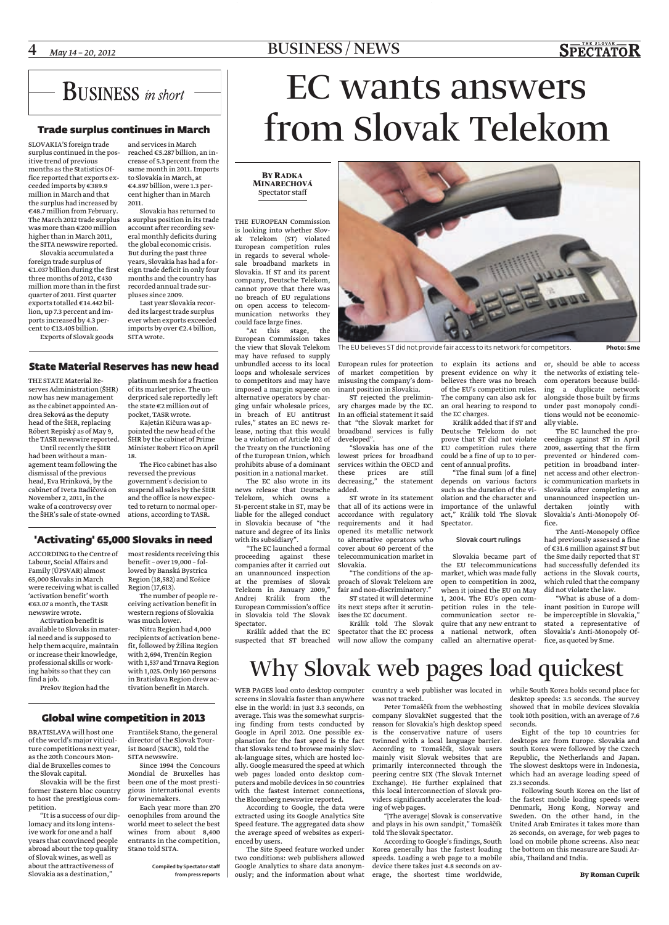## 4 *May 14 – 20, <sup>2012</sup>* BUSINESS / NEWS

## **BUSINESS** in short

## Trade surplus continues in March

SLOVAKIA'S foreign trade surplus continued in the positive trend of previous months as the Statistics Office reported that exports exceeded imports by €389.9 million in March and that the surplus had increased by €48.7 million from February. The March 2012 trade surplus was more than €200 million higher than in March 2011, the SITA newswire reported.

Slovakia accumulated a foreign trade surplus of €1.037 billion during the first three months of 2012, €430 million more than in the first quarter of 2011. First quarter exports totalled €14.442 billion, up 7.3 percent and imports increased by 4.3 percent to €13.405 billion.

Exports of Slovak goods

and services in March reached €5.287 billion, an increase of 5.3 percent from the same month in 2011. Imports to Slovakia in March, at €4.897 billion, were 1.3 percent higher than in March 2011.

Slovakia has returned to a surplus position in its trade account after recording several monthly deficits during the global economic crisis. But during the past three years, Slovakia has had a foreign trade deficit in only four months and the country has recorded annual trade surpluses since 2009.

Last year Slovakia recorded its largest trade surplus ever when exports exceeded imports by over €2.4 billion, SITA wrote.

## State Material Reserves has new head

THE STATE Material Reserves Administration (ŠHR) now has new management as the cabinet appointed Andrea Seková as the deputy head of the ŠHR, replacing Róbert Repiský as of May 9, the TASR newswire reported.

Until recently the ŠHR had been without a management team following the dismissal of the previous head, Eva Hrinková, by the cabinet of Iveta Radičová on November 2, 2011, in the wake of a controversy over

platinum mesh for a fraction of its market price. The underpriced sale reportedly left the state  $\epsilon$ 2 million out of pocket, TASR wrote.

Kajetán Kičura was appointed the new head of the ŠHR by the cabinet of Prime Minister Robert Fico on April 18.

the ŠHR's sale of state-owned ations, according to TASR. The Fico cabinet has also reversed the previous government's decision to suspend all sales by the ŠHR and the office is now expected to return to normal oper-

> benefit – over 19,000 – followed by Banská Bystrica Region (18,582) and Košice

## 'Activating' 65,000 Slovaks in need

ACCORDING to the Centre of most residents receiving this Labour, Social Affairs and Family (ÚPSVAR) almost 65,000 Slovaks in March were receiving what is called 'activation benefit' worth €63.07 a month, the TASR newswire wrote.

Activation benefit is available to Slovaks in material need and is supposed to help them acquire, maintain or increase their knowledge, professional skills or working habits so that they can find a job.

Prešov Region had the

BRATISLAVA will host one of the world's major viticul-director of the Slovak Tourture competitions next year, ist Board (SACR), told the as the 20th Concours Mon-František Stano, the general

dial de Bruxelles comes to the Slovak capital. Slovakia will be the first former Eastern bloc country to host the prestigious competition.

"It is a success of our diplomacy and its long intensive work for one and a half years that convinced people abroad about the top quality of Slovak wines, as well as about the attractiveness of Slovakia as a destination,"

SITA newswire. Since 1994 the Concours Mondial de Bruxelles has been one of the most prestigious international events

for winemakers. Each year more than 270 oenophiles from around the world meet to select the best wines from about 8,400 entrants in the competition, Stano told SITA.

> Compiled by Spectator staff from press reports

# EC wants answers from Slovak Telekom

## **BYRADKA MINARECHOVÁ** Spectator staff

THE EUROPEAN Commission is looking into whether Slovak Telekom (ST) violated European competition rules in regards to several wholesale broadband markets in Slovakia. If ST and its parent company, Deutsche Telekom, cannot prove that there was no breach of EU regulations on open access to telecommunication networks they could face large fines.

"At this stage, the European Commission takes the view that Slovak Telekom may have refused to supply unbundled access to its local loops and wholesale services to competitors and may have imposed a margin squeeze on alternative operators by charging unfair wholesale prices, in breach of EU antitrust rules," states an EC news release, noting that this would be a violation of Article 102 of the Treaty on the Functioning of the European Union, which prohibits abuse of a dominant position in a national market.

The EC also wrote in its news release that Deutsche Telekom, which owns a 51-percent stake in ST, may be liable for the alleged conduct in Slovakia because of "the nature and degree of its links with its subsidiary".

"The EC launched a formal proceeding against these companies after it carried out an unannounced inspection at the premises of Slovak Telekom in January 2009," Andrej Králik from the European Commission's office in Slovakia told The Slovak Spectator.

suspected that ST breached will now allow the company called an alternative operat-

The EU believes ST did not provide fair access to its network for competitors. **Photo: Sme**

European rules for protection to explain its actions and or, should be able to access of market competition by misusing the company's dominant position in Slovakia.

ST rejected the preliminary charges made by the EC. In an official statement it said that "the Slovak market for broadband services is fully developed".

"Slovakia has one of the lowest prices for broadband services within the OECD and these prices are still decreasing," the statement added.

ST wrote in its statement that all of its actions were in accordance with regulatory requirements and it had opened its metallic network to alternative operators who cover about 60 percent of the telecommunication market in Slovakia.

"The conditions of the approach of Slovak Telekom are fair and non-discriminatory." ST stated it will determine

Králik added that the EC Spectator that the EC process its next steps after it scrutinises the EC document. Králik told The Slovak

present evidence on why it believes there was no breach of the EU's competition rules. The company can also ask for an oral hearing to respond to the EC charges.

Králik added that if ST and Deutsche Telekom do not prove that ST did not violate EU competition rules there could be a fine of up to 10 percent of annual profits.

"The final sum [of a fine] depends on various factors such as the duration of the violation and the character and importance of the unlawful act," Králik told The Slovak Spectator.

### Slovak court rulings

Slovakia became part of the EU telecommunications market, which was made fully open to competition in 2002, when it joined the EU on May 1, 2004. The EU's open competition rules in the telecommunication sector require that any new entrant to a national network, often

the networks of existing telecom operators because building a duplicate network alongside those built by firms under past monopoly conditions would not be economically viable.

The EC launched the proceedings against ST in April 2009, asserting that the firm prevented or hindered competition in broadband internet access and other electronic communication markets in Slovakia after completing an unannounced inspection undertaken jointly with Slovakia's Anti-Monopoly Office.

The Anti-Monopoly Office had previously assessed a fine of €31.6 million against ST but the Sme daily reported that ST had successfully defended its actions in the Slovak courts, which ruled that the company did not violate the law.

"What is abuse of a dominant position in Europe will be imperceptible in Slovakia," stated a representative of Slovakia's Anti-Monopoly Office, as quoted by Sme.

# Why Slovak web pages load quickest

WEB PAGES load onto desktop computer country a web publisher was located in while South Korea holds second place for screens in Slovakia faster than anywhere was not tracked. else in the world: in just 3.3 seconds, on average. This was the somewhat surpris-company SlovakNet suggested that the ing finding from tests conducted by reason for Slovakia's high desktop speed Google in April 2012. One possible ex-is the conservative nature of users planation for the fast speed is the fact twinned with a local language barrier. that Slovaks tend to browse mainly Slov-According to Tomaščík, Slovak users ak-language sites, which are hosted locally. Google measured the speed at which web pages loaded onto desktop computers and mobile devices in 50 countries with the fastest internet connections, the Bloomberg newswire reported.

According to Google, the data were extracted using its Google Analytics Site Speed feature. The aggregated data show the average speed of websites as experienced by users.

The Site Speed feature worked under two conditions: web publishers allowed Google Analytics to share data anonymously; and the information about what erage, the shortest time worldwide,

Peter Tomaščík from the webhosting mainly visit Slovak websites that are primarily interconnected through the peering centre SIX (The Slovak Internet Exchange). He further explained that this local interconnection of Slovak providers significantly accelerates the loading of web pages.

"[The average] Slovak is conservative and plays in his own sandpit," Tomaščík told The Slovak Spectator.

According to Google's findings, South Korea generally has the fastest loading speeds. Loading a web page to a mobile device there takes just 4.8 seconds on av-

desktop speeds: 3.5 seconds. The survey showed that in mobile devices Slovakia took 10th position, with an average of 7.6 seconds.

Eight of the top 10 countries for desktops are from Europe. Slovakia and South Korea were followed by the Czech Republic, the Netherlands and Japan. The slowest desktops were in Indonesia, which had an average loading speed of 23.3 seconds.

Following South Korea on the list of the fastest mobile loading speeds were Denmark, Hong Kong, Norway and Sweden. On the other hand, in the United Arab Emirates it takes more than 26 seconds, on average, for web pages to load on mobile phone screens. Also near the bottom on this measure are Saudi Arabia, Thailand and India.



Region (17,613). The number of people re-Nitra Region had 4,000 fit, followed by Žilina Region

with 2,694, Trenčín Region with 1,537 and Trnava Region with 1,025. Only 160 persons in Bratislava Region drew ac-

## tivation benefit in March.

## Global wine competition in 2013

## ceiving activation benefit in western regions of Slovakia was much lower. recipients of activation bene-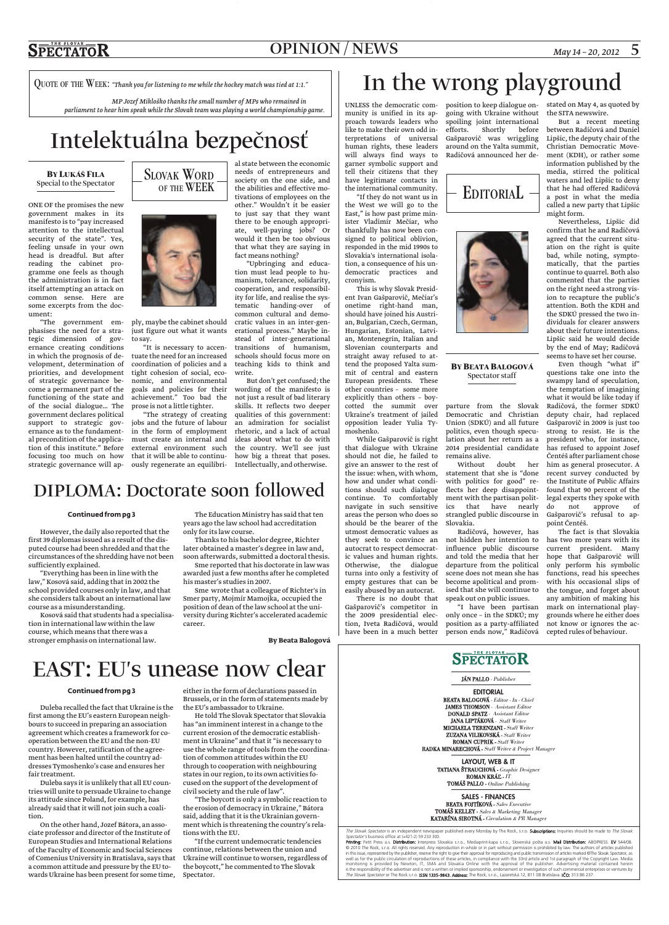## OPINION / NEWS *May 14 – 20, 2012* 5

QUOTE OF THE WEEK: *"Thank you for listening to me while the hockey match was tied at 1:1."*

*MP Jozef Mikloško thanks the small number of MPs who remained in parliament to hear him speak while the Slovak team was playing a world championship game.*

## Intelektuálna bezpečnosť

## **BY LUKÁŠ FILA** Special to the Spectator

ONE OF the promises the new government makes in its manifesto is to "pay increased attention to the intellectual security of the state". Yes, feeling unsafe in your own head is dreadful. But after reading the cabinet programme one feels as though the administration is in fact itself attempting an attack on common sense. Here are some excerpts from the document:

"The government emphasises the need for a strategic dimension of governance creating conditions in which the prognosis of development, determination of priorities, and development of strategic governance become a permanent part of the functioning of the state and of the social dialogue… The government declares political support to strategic governance as to the fundamental precondition of the application of this institute." Before focusing too much on how



ply, maybe the cabinet should just figure out what it wants to say.

"It is necessary to accentuate the need for an increased coordination of policies and a tight cohesion of social, economic, and environmental goals and policies for their wording of the manifesto is achievement." Too bad the prose is not a little tighter.

"The strategy of creating jobs and the future of labour in the form of employment must create an internal and external environment such that it will be able to continu-

al state between the economic needs of entrepreneurs and society on the one side, and the abilities and effective motivations of employees on the other." Wouldn't it be easier to just say that they want there to be enough appropriate, well-paying jobs? Or would it then be too obvious that what they are saying in fact means nothing?

"Upbringing and education must lead people to humanism, tolerance, solidarity, cooperation, and responsibility for life, and realise the systematic handing-over of common cultural and democratic values in an inter-generational process." Maybe instead of inter-generational transitions of humanism, schools should focus more on teaching kids to think and write.

strategic governance will ap-ously regenerate an equilibri-Intellectually, and otherwise. But don't get confused; the not just a result of bad literary skills. It reflects two deeper qualities of this government: an admiration for socialist rhetoric, and a lack of actual ideas about what to do with the country. We'll see just how big a threat that poses.

## DIPLOMA: Doctorate soon followed

#### **Continued from pg 3**

However, the daily also reported that the first 39 diplomas issued as a result of the disputed course had been shredded and that the circumstances of the shredding have not been sufficiently explained.

"Everything has been in line with the law," Kosová said, adding that in 2002 the school provided courses only in law, and that she considers talk about an international law course as a misunderstanding.

Kosová said that students had a specialisation in international law within the law course, which means that there was a stronger emphasis on international law.

The Education Ministry has said that ten years ago the law school had accreditation only for its law course.

Thanks to his bachelor degree, Richter later obtained a master's degree in law and, soon afterwards, submitted a doctoral thesis. Sme reported that his doctorate in law was

awarded just a few months after he completed his master's studies in 2007. Sme wrote that a colleague of Richter's in

Smer party, Mojmír Mamojka, occupied the position of dean of the law school at the university during Richter's accelerated academic career.

**By Beata Balogová**

# In the wrong playground

munity is unified in its approach towards leaders who like to make their own odd interpretations of universal human rights, these leaders will always find ways to garner symbolic support and tell their citizens that they have legitimate contacts in the international community.

"If they do not want us in the West we will go to the East," is how past prime minister Vladimír Mečiar, who thankfully has now been consigned to political oblivion, responded in the mid 1990s to Slovakia's international isolation, a consequence of his undemocratic practices and cronyism.

This is why Slovak President Ivan Gašparovič, Mečiar's onetime right-hand man, should have joined his Austrian, Bulgarian, Czech, German, Hungarian, Estonian, Latvian, Montenegrin, Italian and Slovenian counterparts and straight away refused to attend the proposed Yalta summit of central and eastern European presidents. These other countries – some more explicitly than others – boycotted the summit over Ukraine's treatment of jailed opposition leader Yulia Tymoshenko.

While Gašparovič is right that dialogue with Ukraine should not die, he failed to give an answer to the rest of the issue: when, with whom, how and under what conditions should such dialogue continue. To comfortably navigate in such sensitive areas the person who does so should be the bearer of the utmost democratic values as they seek to convince an autocrat to respect democratic values and human rights. Otherwise, the dialogue turns into only a festivity of empty gestures that can be easily abused by an autocrat.

There is no doubt that Gašparovič's competitor in the 2009 presidential election, Iveta Radičová, would have been in a much better

going with Ukraine without the SITA newswire. spoiling joint international<br>efforts. Shortly before Shortly before Gašparovič was wriggling Lipšic, the deputy chair of the around on the Yalta summit, Radičová announced her de-

## **EDITORIAL**



**BYBEATA BALOGOVÁ** Spectator staff

parture from the Slovak Democratic and Christian Union (SDKÚ) and all future politics, even though speculation about her return as a 2014 presidential candidate remains alive.

statement that she is "done recent survey conducted by with politics for good" reflects her deep disappointment with the partisan politics that have nearly strangled public discourse in Gašparovič's refusal to ap-Slovakia.

Radičová, however, has influence public discourse and told the media that her departure from the political scene does not mean she has become apolitical and promspeak out on public issues.

"I have been partisan only once – in the SDKÚ; my position as a party-affiliated person ends now," Radičová

> JÁN PALLO - Publisher **EDITORIAL**

**SPECTATOR** 

UNLESS the democratic com-position to keep dialogue on-stated on May 4, as quoted by

But a recent meeting between Radičová and Daniel Christian Democratic Movement (KDH), or rather some information published by the media, stirred the political waters and led Lipšic to deny that he had offered Radičová a post in what the media called a new party that Lipšic might form.

Nevertheless, Lipšic did confirm that he and Radičová agreed that the current situation on the right is quite bad, while noting, symptomatically, that the parties continue to quarrel. Both also commented that the parties on the right need a strong vision to recapture the public's attention. Both the KDH and the SDKÚ pressed the two individuals for clearer answers about their future intentions. Lipšic said he would decide by the end of May; Radičová seems to have set her course.

Without doubt her him as general prosecutor. A Even though "what if" questions take one into the swampy land of speculation, the temptation of imagining what it would be like today if Radičová, the former SDKÚ deputy chair, had replaced Gašparovič in 2009 is just too strong to resist. He is the president who, for instance, has refused to appoint Josef Čentéš after parliament chose the Institute of Public Affairs found that 90 percent of the legal experts they spoke with do not approve of point Čentéš.

not hidden her intention to has two more years with its ised that she will continue to the tongue, and forget about The fact is that Slovakia current president. Many hope that Gašparovič will only perform his symbolic functions, read his speeches with his occasional slips of any ambition of making his mark on international playgrounds where he either does not know or ignores the accepted rules of behaviour.

# EAST: EU's unease now clear

## **Continued from pg 3**

Duleba recalled the fact that Ukraine is the first among the EU's eastern European neighbours to succeed in preparing an association agreement which creates a framework for cooperation between the EU and the non-EU country. However, ratification of the agreement has been halted until the country addresses Tymoshenko's case and ensures her fair treatment.

Duleba says it is unlikely that all EU countries will unite to persuade Ukraine to change its attitude since Poland, for example, has already said that it will not join such a coalition.

On the other hand, Jozef Bátora, an associate professor and director of the Institute of European Studies and International Relations of the Faculty of Economic and Social Sciences of Comenius University in Bratislava, says that a common attitude and pressure by the EU towards Ukraine has been present for some time,

either in the form of declarations passed in Brussels, or in the form of statements made by the EU's ambassador to Ukraine.

He told The Slovak Spectator that Slovakia has "an imminent interest in a change to the current erosion of the democratic establishment in Ukraine" and that it "is necessary to use the whole range of tools from the coordination of common attitudes within the EU through to cooperation with neighbouring states in our region, to its own activities focused on the support of the development of civil society and the rule of law".

"The boycott is only a symbolic reaction to the erosion of democracy in Ukraine," Bátora said, adding that it is the Ukrainian government which is threatening the country's relations with the EU.

"If the current undemocratic tendencies continue, relations between the union and Ukraine will continue to worsen, regardless of the boycott," he commented to The Slovak Spectator.

### BEATA BALOGOVÁ - Editor - In - Chief JAMES THOMSON - Assistant Editor DONALD SPATZ - Assistant Editor **JANA LIPTAKOVÁ** - Staff Writer MICHAELA TERENZANI - Staff Writer ZUZANA VILIKOVSKÁ - Staff Writer

ROMAN CUPRIK - Staff Writer RADKA MINARECHOVÁ - Staff Writer & Project Manager **LAYOUT, WEB & IT** 

> TATIANA ŠTRAUCHOVÁ - Graphic Designer ROMAN KRÁĽ - IT TOMÁŠ PALLO - Online Publishing

**SALES - FINANCES** BEATA FOJTÍKOVÁ - Sales Executive TOMÁŠ KELLEY - Sales & Marketing Manager KATARÍNA SIROTNÁ - Circulation & PR Manager

The Slovak Spectator is an independent newspaper published every Monday by The Rock, s.r.o. Subscriptions: Inquiries should be made to The Slovak Spectator's business office at (+421-2) 59 233 300. **Printing:** Petit Press a.s. **Distribution:** Interpress Slovakia s.r.o., Mediaprint-kapa s.r.o., Slovenská pošta a.s. **Mail Distribution:** ABOPRESS. **EV** 544/08.<br>© 2010 The Rock, s.r.o. All rights reseved. Any reproduction well as for the public circulation of reproductions of these articles, in compliance with the 33rd article and 1st paragraph of the Copyright Law. Media monitoring is provided by Newton, IT, SMA and Slovakia Online with the approval of the publisher. Advertising material contained herein<br>is the responsibility of the advertiser and is not a written or implied sponsorship, e The Slovak Spectator or The Rock s.r.o. **ISSN 1335-9843. Address:** The Rock, s.r.o., Lazaretská 12, 811 08 Bratislava. **IČO:** 313 86 237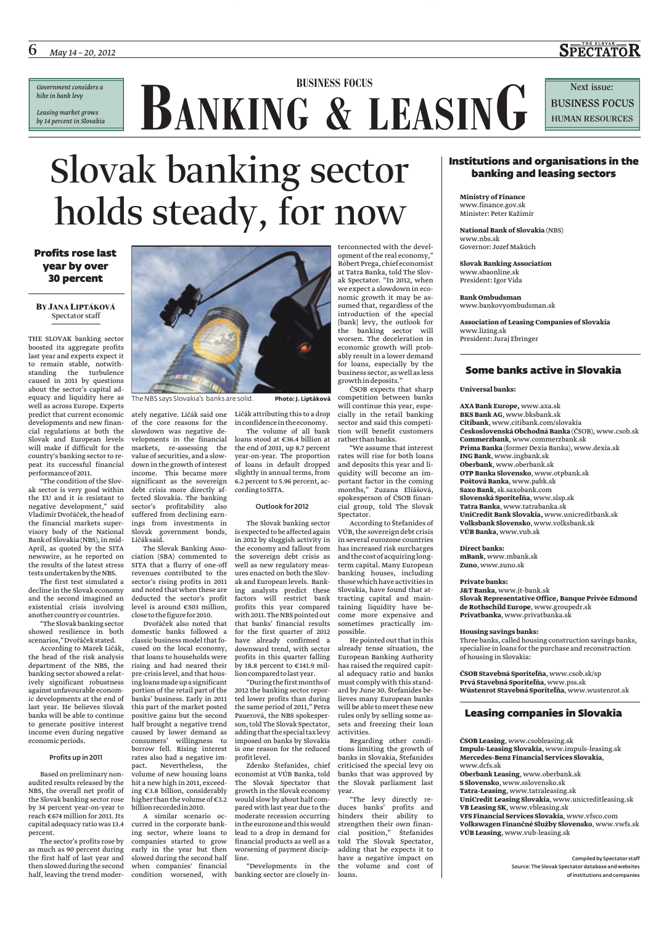*Government considers a hike in bank levy Leasing market grows by 14 percent in Slovakia* **BUSINESS FOCUS**<br> **BANKING** & LEASING

**SPECTATOR** 

# Slovak banking sector holds steady, for now

## Profits rose last year by over 30 percent

## **BY JANA LIPTÁKOVÁ** Spectator staff

THE SLOVAK banking sector boosted its aggregate profits last year and experts expect it to remain stable, notwithstanding the turbulence caused in 2011 by questions about the sector's capital adequacy and liquidity here as well as across Europe. Experts predict that current economic developments and new financial regulations at both the Slovak and European levels will make if difficult for the country's banking sector to repeat its successful financial performanceof2011.

"The condition of the Slovak sector is very good within the EU and it is resistant to negative development," said VladimírDvořáček, the headof the financial markets supervisory body of the National Bank of Slovakia (NBS), in mid-April, as quoted by the SITA newswire, as he reported on the results of the latest stress tests undertaken by the NBS.

The first test simulated a decline in the Slovak economy and the second imagined an existential crisis involving another country or countries.

"The Slovak banking sector showed resilience in both scenarios,"Dvořáček stated.

According to Marek Ličák, the head of the risk analysis department of the NBS, the banking sector showed a relatively significant robustness against unfavourable economic developments at the end of last year. He believes Slovak banks will be able to continue to generate positive interest income even during negative economic periods.

## Profits up in 2011

Based on preliminary nonaudited results released by the NBS, the overall net profit of the Slovak banking sector rose by 34 percent year-on-year to reach €674 million for 2011. Its capital adequacy ratio was 13.4 curred in the corporate bankpercent.

The sector's profits rose by as much as 90 percent during the first half of last year and then slowed during the second half, leaving the trend moder-



ately negative. Ličák said one Ličák attributing this to a drop of the core reasons for the slowdown was negative developments in the financial markets, re-assessing the value of securities, and a slowdown in the growth of interest income. This became more significant as the sovereign debt crisis more directly affected Slovakia. The banking sector's profitability also suffered from declining earnings from investments in Slovak government bonds, Ličák said.

The Slovak Banking Association (SBA) commented to SITA that a flurry of one-off revenues contributed to the sector's rising profits in 2011 and noted that when these are deducted the sector's profit level is around €503 million, close to the figure for2010.

Dvořáček also noted that domestic banks followed a classic business model that focused on the local economy, that loans to households were rising and had neared their pre-crisis level, and that housingloansmadeupa significant portion of the retail part of the banks' business. Early in 2011 this part of the market posted positive gains but the second half brought a negative trend caused by lower demand as adding that the special taxlevy consumers' willingness to imposed on banks by Slovakia borrow fell. Rising interest rates also had a negative impact. Nevertheless, the volume of new housing loans hit a new high in 2011, exceeding €3.8 billion, considerably higher than the volume of €3.2

billion recordedin2010. A similar scenario ocing sector, where loans to companies started to grow early in the year but then slowed during the second half when companies' financial

inconfidencein theeconomy. The volume of all bank

loans stood at €36.4 billion at the end of 2011, up 8.7 percent year-on-year. The proportion of loans in default dropped slightly in annual terms, from 6.2 percent to 5.96 percent, according toSITA.

## Outlook for 2012

The Slovak banking sector is expected to be affected again in 2012 by sluggish activity in the economy and fallout from the sovereign debt crisis as well as new regulatory measures enacted on both the Slovak and European levels. Banking analysts predict these factors will restrict bank profits this year compared with 2011. The NBS pointed out that banks' financial results for the first quarter of 2012 have already confirmed a downward trend, with sector profits in this quarter falling by 18.8 percent to €141.9 mil-

lioncompared tolast year. "During the firstmonthsof 2012 the banking sector reported lower profits than during the same period of 2011," Petra Pauerová, the NBS spokesperson, told The Slovak Spectator, is one reason for the reduced profitlevel.

Zdenko Štefanides, chief economist at VÚB Banka, told The Slovak Spectator that growth in the Slovak economy would slow by about half compared with last year due to the moderate recession occurring in the eurozone and this would lead to a drop in demand for financial products as well as a worsening of payment discipline.

condition worsened, with banking sector are closely in-loans.

terconnected with the development of the real economy," Róbert Prega, chiefeconomist at Tatra Banka, told The Slovak Spectator. "In 2012, when we expect a slowdown in economic growth it may be assumed that, regardless of the introduction of the special [bank] levy, the outlook for the banking sector will worsen. The deceleration in economic growth will probably result in a lower demand for loans, especially by the business sector, as well asless growthin deposits." ČSOB expects that sharp

competition between banks will continue this year, especially in the retail banking sector and said this competition will benefit customers rather than banks.

"We assume that interest rates will rise for both loans and deposits this year and liquidity will become an important factor in the coming months," Zuzana Eliášová, spokesperson of ČSOB financial group, told The Slovak Spectator.

According to Štefanides of VÚB, the sovereign debt crisis in several eurozone countries has increased risk surcharges and thecostofacquiringlongterm capital. Many European banking houses, including thosewhich have activitiesin Slovakia, have found that attracting capital and maintaining liquidity have become more expensive and sometimes practically impossible.

He pointed out that in this already tense situation, the European Banking Authority has raised the required capital adequacy ratio and banks must comply with this standard by June 30. Štefanides believes many European banks will be able to meet these new rules only by selling some assets and freezing their loan activities.

Regarding other conditions limiting the growth of banks in Slovakia, Štefanides criticised the special levy on banks that was approved by the Slovak parliament last year.

"Developments in the the volume and cost of "The levy directly reduces banks' profits and hinders their ability to strengthen their own financial position," Štefanides told The Slovak Spectator, adding that he expects it to have a negative impact on

## Institutions and organisations in the banking and leasing sectors

**Ministry of Finance** www.finance.gov.sk Minister: Peter Kažimír

**National Bank of Slovakia** (NBS) www.nbs.sk Governor: Jozef Makúch

**Slovak Banking Association** www.sbaonline.sk President: Igor Vida

**Bank Ombudsman** www.bankovyombudsman.sk

**Association of Leasing Companies of Slovakia** www.lizing.sk President: Juraj Ebringer

## Some banks active in Slovakia

**Universal banks:**

**AXA Bank Europe,** www.axa.sk **BKS Bank AG**, www.bksbank.sk **Citibank**, www.citibank.com/slovakia **Československá Obchodná Banka** (ČSOB), www.csob.sk **Commerzbank**, www.commerzbank.sk **Prima Banka** (former Dexia Banka), www.dexia.sk **ING Bank**, www.ingbank.sk **Oberbank**, www.oberbank.sk **OTP Banka Slovensko**, www.otpbank.sk **Poštová Banka**, www.pabk.sk **Saxo Bank**, sk.saxobank.com **Slovenská Sporiteľňa**, www.slsp.sk **Tatra Banka**, www.tatrabanka.sk **UniCredit Bank Slovakia,** www.unicreditbank.sk **Volksbank Slovensko**, www.volksbank.sk **VÚB Banka**, www.vub.sk

**Direct banks: mBank**, www.mbank.sk **Zuno**, www.zuno.sk

## **Private banks:**

**J&T Banka**, www.jt-bank.sk **Slovak Representative Office, Banque Privée Edmond de Rothschild Europe**, www.groupedr.sk **Privatbanka**, www.privatbanka.sk

## **Housing savings banks:**

Three banks, called housing construction savings banks, specialise in loans for the purchase and reconstruction of housing in Slovakia:

**ČSOB Stavebná Sporiteľňa**, www.csob.sk/sp **Prvá Stavebná Sporiteľňa**, www.pss.sk **Wüstenrot Stavebná Sporiteľňa**, www.wustenrot.sk

## Leasing companies in Slovakia

**ČSOB Leasing**, www.csobleasing.sk

**Impuls-Leasing Slovakia**, www.impuls-leasing.sk **Mercedes-Benz Financial Services Slovakia**, www.dcfs.sk

**Oberbank Leasing**, www.oberbank.sk

**S Slovensko**, www.sslovensko.sk **Tatra-Leasing**, www.tatraleasing.sk

**UniCredit Leasing Slovakia**, www.unicreditleasing.sk **VB Leasing SK**, www.vbleasing.sk

**VFS Financial Services Slovakia**, www.vfsco.com

**Volkswagen Finančné Služby Slovensko**, www.vwfs.sk **VÚB Leasing**, www.vub-leasing.sk

> Compiled by Spectator staff Source: The Slovak Spectator database and websites of institutions and companies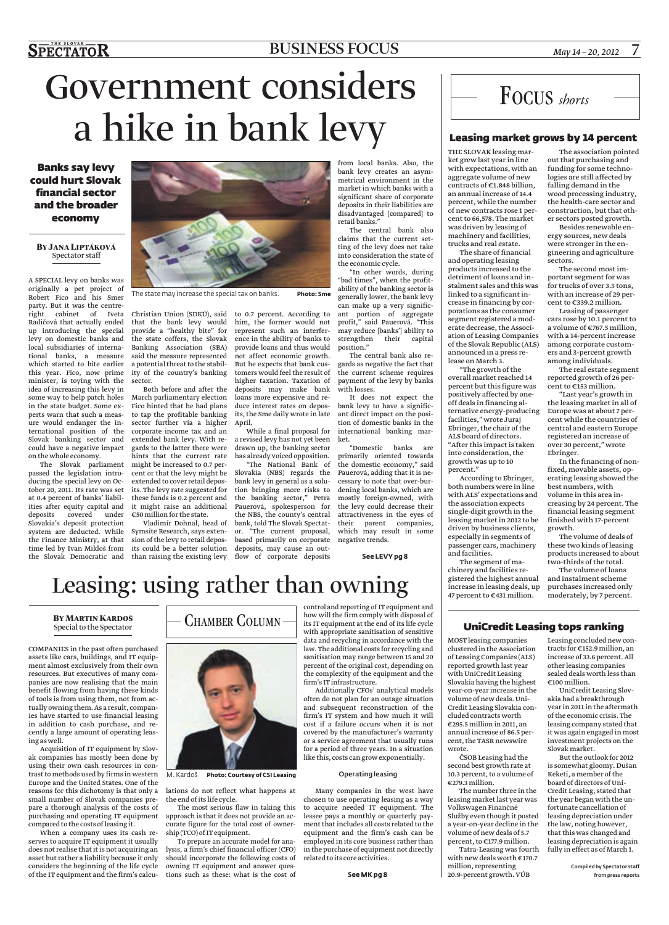## BUSINESS FOCUS

# Government considers a hike in bank levy

Banks say levy could hurt Slovak financial sector and the broader economy

## **BY JANA LIPTÁKOVÁ** Spectator staff

A SPECIAL levy on banks was originally a pet project of Robert Fico and his Smer party. But it was the centreright cabinet of Iveta Radičová that actually ended up introducing the special levy on domestic banks and local subsidiaries of international banks, a measure which started to bite earlier this year. Fico, now prime minister, is toying with the idea of increasing this levy in some way to help patch holes in the state budget. Some experts warn that such a measure would endanger the international position of the Slovak banking sector and could have a negative impact on the whole economy.

passed the legislation introducing the special levy on October 20, 2011. Its rate was set at 0.4 percent of banks' liabilities after equity capital and deposits covered under Slovakia's deposit protection system are deducted. While the Finance Ministry, at that



The state may increase the special tax on banks. **Photo: Sme**

Christian Union (SDKÚ), said to 0.7 percent. According to that the bank levy would provide a "healthy bite" for the state coffers, the Slovak Banking Association (SBA) said the measure represented a potential threat to the stability of the country's banking sector.

The Slovak parliament might be increased to 0.7 per-Both before and after the March parliamentary election Fico hinted that he had plans to tap the profitable banking  $\;$  its, the Sme daily wrote in late sector further via a higher corporate income tax and an extended bank levy. With regards to the latter there were hints that the current rate cent or that the levy might be extended to cover retail deposits. The levy rate suggested for these funds is 0.2 percent and it might raise an additional €50 million for the state.

time led by Ivan Mikloš from its could be a better solution deposits, may cause an outthe Slovak Democratic and than raising the existing levy flow of corporate deposits Vladimír Dohnal, head of Symsite Research, says extension of the levy to retail depos-

him, the former would not represent such an interference in the ability of banks to provide loans and thus would not affect economic growth. But he expects that bank customers would feel the result of higher taxation. Taxation of deposits may make bank loans more expensive and reduce interest rates on depos-April.

While a final proposal for a revised levy has not yet been drawn up, the banking sector has already voiced opposition.

"The National Bank of Slovakia (NBS) regards the bank levy in general as a solution bringing more risks to the banking sector," Petra Pauerová, spokesperson for the NBS, the county's central bank, told The Slovak Spectator. "The current proposal, based primarily on corporate

from local banks. Also, the bank levy creates an asymmetrical environment in the market in which banks with a significant share of corporate deposits in their liabilities are disadvantaged [compared] to retail banks."

The central bank also claims that the current setting of the levy does not take into consideration the state of the economic cycle.

"In other words, during "bad times", when the profitability of the banking sector is generally lower, the bank levy can make up a very significant portion of aggregate profit," said Pauerová. "This may reduce [banks'] ability to strengthen their capital position."

The central bank also regards as negative the fact that the current scheme requires payment of the levy by banks with losses.

It does not expect the bank levy to have a significant direct impact on the position of domestic banks in the international banking market.

"Domestic banks are primarily oriented towards the domestic economy," said Pauerová, adding that it is necessary to note that over-burdening local banks, which are mostly foreign-owned, with the levy could decrease their attractiveness in the eyes of their parent companies, which may result in some negative trends.

**See LEVY pg 8**

# Leasing: using rather than owning

## **BY MARTIN KARDOŠ**<br>Special to the Spectator

COMPANIES in the past often purchased assets like cars, buildings, and IT equipment almost exclusively from their own resources. But executives of many companies are now realising that the main benefit flowing from having these kinds of tools is from using them, not from actually owning them. As a result, companies have started to use financial leasing in addition to cash purchase, and recently a large amount of operating leasing as well.

Acquisition of IT equipment by Slovak companies has mostly been done by using their own cash resources in contrast to methods used by firms in western Europe and the United States. One of the reasons for this dichotomy is that only a small number of Slovak companies prepare a thorough analysis of the costs of purchasing and operating IT equipment compared to the costs of leasingit.

When a company uses its cash reserves to acquire IT equipment it usually does not realise that it is not acquiring an asset but rather a liability because it only considers the beginning of the life cycle of the IT equipment and the firm's calcu-



lations do not reflect what happens at

the end of its life cycle. The most serious flaw in taking this

approach is that it does not provide an accurate figure for the total cost of ownership (TCO) of IT equipment. To prepare an accurate model for ana-

lysis, a firm's chief financial officer (CFO) should incorporate the following costs of owning IT equipment and answer questions such as these: what is the cost of

control and reporting of IT equipment and how will the firm comply with disposal of its IT equipment at the end of its life cycle with appropriate sanitisation of sensitive data and recycling in accordance with the law. The additional costs for recycling and sanitisation may range between 15 and 20 percent of the original cost, depending on the complexity of the equipment and the firm's IT infrastructure.

often do not plan for an outage situation and subsequent reconstruction of the firm's IT system and how much it will cost if a failure occurs when it is not covered by the manufacturer's warranty or a service agreement that usually runs for a period of three years. In a situation like this, costs can grow exponentially.

### Operating leasing

Many companies in the west have chosen to use operating leasing as a way to acquire needed IT equipment. The lessee pays a monthly or quarterly payment that includes all costs related to the equipment and the firm's cash can be employed in its core business rather than in the purchase of equipment not directly related to its core activities.

**See MK pg 8**



## Leasing market grows by 14 percent

THE SLOVAK leasing market grew last year in line with expectations, with an aggregate volume of new contracts of €1.848 billion, an annual increase of 14.4 percent, while the number of new contracts rose 1 percent to 66,578. The market was driven by leasing of machinery and facilities, trucks and real estate.

The share of financial and operating leasing products increased to the detriment of loans and instalment sales and this was linked to a significant increase in financing by corporations as the consumer segment registered a moderate decrease, the Association of Leasing Companies of the Slovak Republic (ALS) announced in a press release on March 3.

"The growth of the overall market reached 14 percent but this figure was positively affected by oneoff deals in financing alternative energy-producing facilities," wrote Juraj Ebringer, the chair of the ALS board of directors. "After this impact is taken into consideration, the growth was up to 10 percent."

According to Ebringer, both numbers were in line with ALS' expectations and the association expects single-digit growth in the leasing market in 2012 to be driven by business clients, especially in segments of passenger cars, machinery and facilities.

The segment of machinery and facilities registered the highest annual increase in leasing deals, up 47 percent to €431 million.

The association pointed out that purchasing and funding for some technologies are still affected by falling demand in the wood processing industry, the health-care sector and construction, but that other sectors posted growth.

Besides renewable energy sources, new deals were stronger in the engineering and agriculture sectors.

The second most important segment for was for trucks of over 3.5 tons, with an increase of 29 percent to  $\mathfrak{e}$  339.2 million.

Leasing of passenger cars rose by 10.1 percent to a volume of €767.5 million, with a 14-percent increase among corporate customers and 3-percent growth among individuals.

The real estate segment reported growth of 26 percent to  $\mathop{\mathsf{c}}\nolimits$  153 million.

"Last year's growth in the leasing market in all of Europe was at about 7 percent while the countries of central and eastern Europe registered an increase of over 30 percent," wrote Ebringer.

In the financing of nonfixed, movable assets, operating leasing showed the best numbers, with volume in this area increasing by 24 percent. The financial leasing segment finished with 17-percent growth.

The volume of deals of these two kinds of leasing products increased to about two-thirds of the total. The volume of loans

and instalment scheme purchases increased only moderately, by 7 percent.

## UniCredit Leasing tops ranking

MOST leasing companies clustered in the Association of Leasing Companies (ALS) reported growth last year with UniCredit Leasing Slovakia having the highest year-on-year increase in the volume of new deals. Uni-Credit Leasing Slovakia concluded contracts worth €295.5 million in 2011, an annual increase of 86.5 percent, the TASR newswire wrote.

ČSOB Leasing had the second best growth rate at 10.3 percent, to a volume of €279.3 million.

The number three in the leasing market last year was Volkswagen Finančné Služby even though it posted a year-on-year decline in the volume of new deals of 5.7 percent, to €177.9 million.

Tatra-Leasing was fourth with new deals worth €170.7 million, representing 20.9-percent growth. VÚB

Leasing concluded new contracts for €152.9 million, an increase of 33.6 percent. All other leasing companies sealed deals worth less than €100 million.

UniCredit Leasing Slovakia had a breakthrough year in 2011 in the aftermath of the economic crisis. The leasing company stated that it was again engaged in most investment projects on the Slovak market.

But the outlook for 2012 is somewhat gloomy. Dušan Keketi, a member of the board of directors of Uni-Credit Leasing, stated that the year began with the unfortunate cancellation of leasing depreciation under the law, noting however, that this was changed and leasing depreciation is again fully in effect as of March 1.

Additionally CFOs' analytical models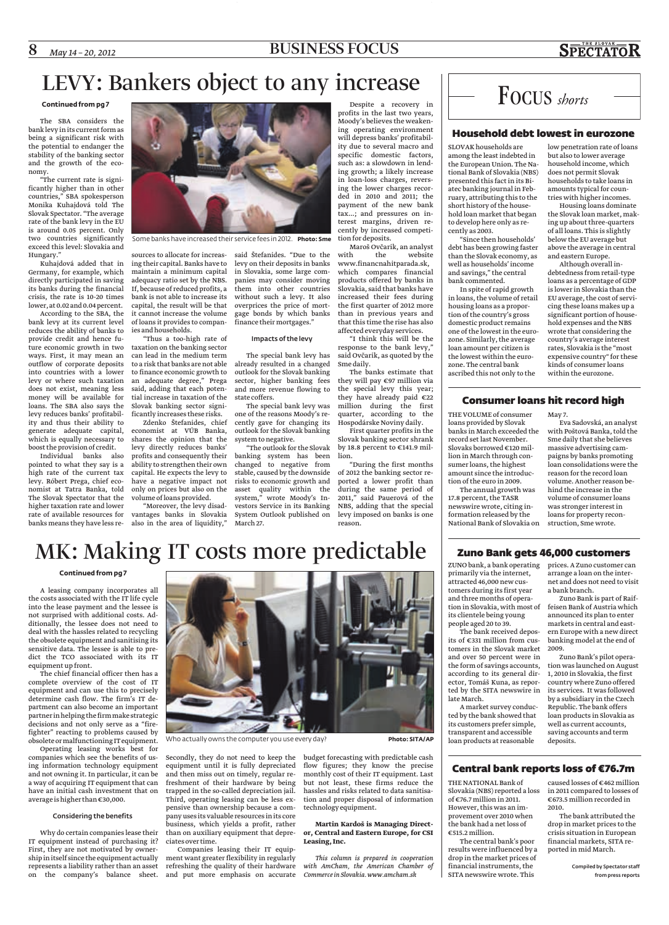## 8 *May 14 – 20, 2012* BUSINESS FOCUS

## **SPECTATOR**

## LEVY: Bankers object to any increase

## **Continued from pg 7**

The SBA considers the bank levy in its current form as being a significant risk with the potential to endanger the stability of the banking sector and the growth of the economy.

"The current rate is significantly higher than in other countries," SBA spokesperson Monika Kuhajdová told The Slovak Spectator. "The average rate of the bank levy in the EU is around 0.05 percent. Only two countries significantly exceed this level: Slovakia and Hungary."

Kuhajdová added that in Germany, for example, which directly participated in saving its banks during the financial crisis, the rate is 10-20 times lower, at 0.02 and 0.04 percent.

According to the SBA, the bank levy at its current level reduces the ability of banks to provide credit and hence future economic growth in two ways. First, it may mean an outflow of corporate deposits into countries with a lower levy or where such taxation does not exist, meaning less money will be available for loans. The SBA also says the levy reduces banks' profitability and thus their ability to generate adequate capital, which is equally necessary to boost the provision of credit.

Individual banks also pointed to what they say is a high rate of the current tax levy. Róbert Prega, chief economist at Tatra Banka, told The Slovak Spectator that the higher taxation rate and lower rate of available resources for banks means they have less re-



Some banks have increased their service fees in 2012. **Photo: Sme**

sources to allocate for increasing their capital. Banks have to maintain a minimum capital adequacy ratio set by the NBS. If, because of reduced profits, a bank is not able to increase its capital, the result will be that of loans it provides to companies and households.

"Thus a too-high rate of taxation on the banking sector can lead in the medium term to a risk that banks are not able to finance economic growth to an adequate degree," Prega said, adding that each potential increase in taxation of the Slovak banking sector significantlyincreases these risks.

Zdenko Štefanides, chief economist at VÚB Banka, shares the opinion that the levy directly reduces banks' profits and consequently their ability to strengthen their own capital. He expects the levy to have a negative impact not only on prices but also on the volume of loans provided.

"Moreover, the levy disadvantages banks in Slovakia System Outlook published on also in the area of liquidity,"

it cannot increase the volume gage bonds by which banks said Štefanides. "Due to the levy on their deposits in banks in Slovakia, some large companies may consider moving them into other countries without such a levy. It also overprices the price of mortfinance their mortgages."

### Impacts of the levy

The special bank levy has already resulted in a changed outlook for the Slovak banking sector, higher banking fees and more revenue flowing to state coffers.

The special bank levy was one of the reasons Moody's recently gave for changing its outlook for the Slovak banking system to negative.

"The outlook for the Slovak banking system has been changed to negative from stable, caused by the downside risks to economic growth and asset quality within the system," wrote Moody's Investors Service in its Banking March 27.

Despite a recovery in profits in the last two years, Moody's believes the weakening operating environment will depress banks' profitability due to several macro and specific domestic factors, such as: a slowdown in lending growth; a likely increase in loan-loss charges, reversing the lower charges recorded in 2010 and 2011; the payment of the new bank tax...; and pressures on interest margins, driven recently by increased competition for deposits.

Maroš Ovčarik, an analyst<br>with the website website www.financnahitparada.sk, which compares financial products offered by banks in Slovakia, said that banks have increased their fees during the first quarter of 2012 more than in previous years and that this time the rise has also affected everyday services.

"I think this will be the response to the bank levy," said Ovčarik, as quoted by the Sme daily.

The banks estimate that they will pay €97 million via the special levy this year; they have already paid €22 million during the first quarter, according to the Hospodárske Noviny daily.

First quarter profits in the Slovak banking sector shrank by 18.8 percent to €141.9 million.

"During the first months of 2012 the banking sector reported a lower profit than during the same period of 2011," said Pauerová of the NBS, adding that the special levy imposed on banks is one reason.



## Household debt lowest in eurozone

SLOVAK households are among the least indebted in the European Union. The National Bank of Slovakia (NBS) presented this fact in its Biatec banking journal in February, attributing this to the short history of the household loan market that began to develop here only as recently as 2003.

"Since then households' debt has been growing faster than the Slovak economy, as well as households' income and savings," the central bank commented.

In spite of rapid growth in loans, the volume of retail housing loans as a proportion of the country's gross domestic product remains one of the lowest in the eurozone. Similarly, the average loan amount per citizen is the lowest within the eurozone. The central bank ascribed this not only to the

low penetration rate of loans but also to lower average household income, which does not permit Slovak households to take loans in amounts typical for countries with higher incomes.

Housing loans dominate the Slovak loan market, making up about three-quarters of all loans. This is slightly below the EU average but above the average in central and eastern Europe.

Although overall indebtedness from retail-type loans as a percentage of GDP is lower in Slovakia than the EU average, the cost of servicing these loans makes up a significant portion of household expenses and the NBS wrote that considering the country's average interest rates, Slovakia is the "most expensive country" for these kinds of consumer loans within the eurozone.

## Consumer loans hit record high

May 7.

THE VOLUME of consumer loans provided by Slovak banks in March exceeded the record set last November. Slovaks borrowed €120 million in March through consumer loans, the highest amount since the introduction of the euro in 2009.

The annual growth was 17.8 percent, the TASR newswire wrote, citing information released by the National Bank of Slovakia on

Eva Sadovská, an analyst with Poštová Banka, told the Sme daily that she believes massive advertising campaigns by banks promoting loan consolidations were the reason for the record loan volume. Another reason behind the increase in the volume of consumer loans was stronger interest in loans for property reconstruction, Sme wrote.

# MK: Making IT costs more predictable

## **Continued from pg 7**

A leasing company incorporates all the costs associated with the IT life cycle into the lease payment and the lessee is not surprised with additional costs. Additionally, the lessee does not need to deal with the hassles related to recycling the obsolete equipment and sanitising its sensitive data. The lessee is able to predict the TCO associated with its IT equipment up front.

The chief financial officer then has a complete overview of the cost of IT equipment and can use this to precisely determine cash flow. The firm's IT department can also become an important partnerinhelping the firmmake strategic decisions and not only serve as a "firefighter" reacting to problems caused by obsoleteormalfunctioning ITequipment.

Operating leasing works best for companies which see the benefits of using information technology equipment and not owning it. In particular, it can be a way of acquiring IT equipment that can have an initial cash investment that on averageis higher than€30,000.

## Considering the benefits

Why do certain companies lease their IT equipment instead of purchasing it? First, they are not motivated by ownershipinitself since the equipment actually represents a liability rather than an asset on the company's balance sheet.



Who actually owns the computer you use every day? **Photo: SITA/AP** 

Secondly, they do not need to keep the equipment until it is fully depreciated and then miss out on timely, regular refreshment of their hardware by being trapped in the so-called depreciation jail. Third, operating leasing can be less expensive than ownership because a company usesits valuable resourcesinits core business, which yields a profit, rather than on auxiliary equipment that depreciatesover time.

Companies leasing their IT equipment want greater flexibility in regularly refreshing the quality of their hardware and put more emphasis on accurate

budget forecasting with predictable cash flow figures; they know the precise monthly cost of their IT equipment. Last but not least, these firms reduce the hassles and risks related to data sanitisation and proper disposal of information technologyequipment.

### **Martin Kardoš is Managing Director, Central and Eastern Europe, for CSI Leasing, Inc.**

*This column is prepared in cooperation with AmCham, the American Chamber of Commerce in Slovakia. www.amcham.sk*

## Zuno Bank gets 46,000 customers

ZUNO bank, a bank operating prices. A Zuno customer can primarily via the internet, attracted 46,000 new customers during its first year and three months of operation in Slovakia, with most of its clientele being young people aged 20 to 39.

The bank received deposits of €331 million from customers in the Slovak market and over 50 percent were in the form of savings accounts, according to its general director, Tomáš Kuna, as reported by the SITA newswire in late March.

A market survey conducted by the bank showed that its customers prefer simple, transparent and accessible loan products at reasonable

## Central bank reports loss of €76.7m

THE NATIONAL Bank of Slovakia (NBS) reported a loss of €76.7 million in 2011. However, this was an improvement over 2010 when the bank had a net loss of €515.2 million.

The central bank's poor results were influenced by a drop in the market prices of financial instruments, the SITA newswire wrote. This

arrange a loan on the internet and does not need to visit a bank branch. Zuno Bank is part of Raiffeisen Bank of Austria which

announced its plan to enter markets in central and eastern Europe with a new direct banking model at the end of 2009.

Zuno Bank's pilot operation was launched on August 1, 2010 in Slovakia, the first country where Zuno offered its services. It was followed by a subsidiary in the Czech Republic. The bank offers loan products in Slovakia as well as current accounts, saving accounts and term deposits.

caused losses of €462 million in 2011 compared to losses of

€673.5 million recorded in 2010. The bank attributed the drop in market prices to the crisis situation in European financial markets, SITA re-

ported in mid March. Compiled by Spectator staff

from press reports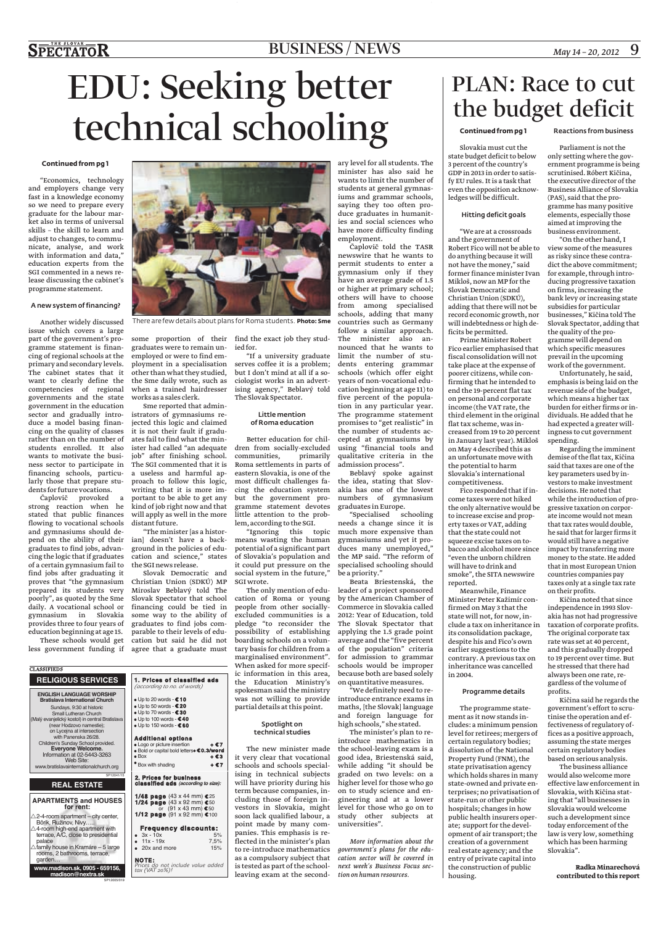## $S\overline{\text{PECTATOR}}$

## BUSINESS / NEWS *May 14 – 20, 2012* 9

# EDU: Seeking better technical schooling

### **Continued from pg 1**

"Economics, technolog and employers change ver fast in a knowledge econom so we need to prepare ever graduate for the labour maket also in terms of univers. skills - the skill to learn an adjust to changes, to communicate, analyse, and wor with information and data education experts from th SGI commented in a news re lease discussing the cabinet programme statement.

### A new system of financing?

Another widely discussed issue which covers a large part of the government's programme statement is financing of regional schools at the primary and secondary levels. The cabinet states that it want to clearly define the competencies of regional governments and the state government in the education sector and gradually introduce a model basing financing on the quality of classes rather than on the number of students enrolled. It also wants to motivate the business sector to participate in financing schools, particularly those that prepare students for future vocations.

Čaplovič provoked a strong reaction when he stated that public finances flowing to vocational schools and gymnasiums should depend on the ability of their graduates to find jobs, advancing the logic that if graduates of a certain gymnasium fail to find jobs after graduating it proves that "the gymnasium prepared its students very poorly", as quoted by the Sme daily. A vocational school or gymnasium in Slovakia provides three to four years of education beginning at age 15.

These schools would get less government funding if

**RELIGIOUS SERVICES ENGLISH LANGUAGE WORSHIP Bratislava International Church** Sundays, 9:30 at historic Small Lutheran Church (Malý evanjelický kostol) in central Bratislava (near Hodzovo namestie); on Lycejna at intersection with Panenska 26/28. Children's Sunday School provided. **Everyone Welcome.** Information at 02-5443-3263 Web Site: www.bratislavainternationalchurch.org

**REAL ESTATE**

**APARTMENTS and HOUSES for rent:**  $\triangle$ 2-4-room apartment - city center, Bôrik, Ružinov, Nivy….. -4-room high-end apartment with terrace, A/C, close to presidential palace -family house in Kramáre – 5 large rooms, 2 bathrooms, terrace,

**www.madison.sk, 0905 - 659156, madison@nextra.sk**

**CLASSIFIEDS** 

garden…

| 3Y<br>ry<br>ry<br>ry<br>r- |  |
|----------------------------|--|
|                            |  |
| al                         |  |
| ıd                         |  |
| u-                         |  |
|                            |  |
| rk<br>',"                  |  |
| ıe                         |  |
|                            |  |
| e-<br>:'s                  |  |
|                            |  |
|                            |  |
|                            |  |
| ŗ                          |  |

There are few details about plans for Roma students. **Photo: Sme**

graduates were to remain un-ied for. employed or were to find employment in a specialisation other than what they studied, the Sme daily wrote, such as when a trained hairdresser works as a sales clerk.

Sme reported that administrators of gymnasiums rejected this logic and claimed it is not their fault if graduates fail to find what the minister had called "an adequate job" after finishing school. The SGI commented that it is a useless and harmful approach to follow this logic, writing that it is more important to be able to get any kind of job right now and that will apply as well in the more distant future.

"The minister [as a historian] doesn't have a background in the policies of education and science," states the SGI news release.

Slovak Democratic and Christian Union (SDKÚ) MP Miroslav Beblavý told The Slovak Spectator that school financing could be tied in some way to the ability of graduates to find jobs comparable to their levels of education but said he did not agree that a graduate must

**1. Prices of classified ads**  *(according to no. of words)* ● Up to 20 words - **€ 10** ● Up to 50 words - **€ 20** ● Up to 70 words - **€ 30** ● Up to 100 words - **€ 40** ● Up to 150 words - **€ 60 Additional options**

● Logo or picture insertion **+ € 7** ● Bold or capital bold letters**+ € 0.3/word** ● Box **+ € 3** ● Box with shading **+ € 7**

**1/48 page** (43 x 44 mm) **€** 25 **1/24 page** (43 x 92 mm) **€** 50 or (91 x 43 mm) **€** 50 **1/12 page** (91 x 92 mm) **€** 100

**2. Prices for business classified ads (according to size):**

 $• 3x - 10x$ 

SP12041/15

SP12005/019

**Frequency discounts:**<br>3x - 10x 5%<br>11x - 19x 7,5%

● 11x - 19x 7,5% ● 20x and more 15%

**NOTE:** *Prices do not include value added tax (VAT 20%)!*

some proportion of their find the exact job they stud-

"If a university graduate serves coffee it is a problem; but I don't mind at all if a sociologist works in an advertising agency," Beblavý told The Slovak Spectator.

### Little mention of Roma education

Better education for children from socially-excluded communities, primarily Roma settlements in parts of eastern Slovakia, is one of the most difficult challenges facing the education system but the government programme statement devotes little attention to the problem, according to the SGI.

"Ignoring this topic means wasting the human potential of a significant part of Slovakia's population and it could put pressure on the social system in the future," SGI wrote.

The only mention of education of Roma or young people from other sociallyexcluded communities is a pledge "to reconsider the possibility of establishing boarding schools on a voluntary basis for children from a marginalised environment". When asked for more specific information in this area, the Education Ministry's spokesman said the ministry was not willing to provide partial details at this point.

### Spotlight on technical studies

The new minister made it very clear that vocational schools and schools specialising in technical subjects will have priority during his term because companies, including those of foreign investors in Slovakia, might soon lack qualified labour, a point made by many companies. This emphasis is reflected in the minister's plan to re-introduce mathematics as a compulsory subject that is tested as part of the schoolleaving exam at the second-

ary level for all students. The minister has also said he wants to limit the number of students at general gymnasiums and grammar schools, saying they too often produce graduates in humanities and social sciences who have more difficulty finding employment.

Čaplovič told the TASR newswire that he wants to permit students to enter a gymnasium only if they have an average grade of 1.5 or higher at primary school; others will have to choose from among specialised schools, adding that many countries such as Germany follow a similar approach. The minister also announced that he wants to limit the number of students entering grammar schools (which offer eight years of non-vocational education beginning at age 11) to five percent of the population in any particular year. The programme statement promises to "get realistic" in the number of students accepted at gymnasiums by using "financial tools and qualitative criteria in the admission process".

Beblavý spoke against the idea, stating that Slovakia has one of the lowest numbers of gymnasium graduatesin Europe.

"Specialised schooling needs a change since it is much more expensive than gymnasiums and yet it produces many unemployed," the MP said. "The reform of specialised schooling should be a priority."

Beata Briestenská, the leader of a project sponsored by the American Chamber of Commerce in Slovakia called 2012: Year of Education, told The Slovak Spectator that applying the 1.5 grade point average and the "five percent of the population" criteria for admission to grammar schools would be improper because both are based solely on quantitativemeasures.

"We definitely need to reintroduce entrance exams in maths, [the Slovak] language and foreign language for high schools," she stated.

The minister's plan to reintroduce mathematics in the school-leaving exam is a good idea, Briestenská said, while adding "it should be graded on two levels: on a higher level for those who go on to study science and engineering and at a lower level for those who go on to study other subjects at universities".

*More information about the government's plans for the education sector will be covered in next week's Business Focus section on human resources.*

# PLAN: Race to cut the budget deficit

## **Continued from pg 1**

Slovakia must cut the state budget deficit to below 3 percent of the country's GDP in 2013 in order to satisfy EU rules. It is a task that even the opposition acknowledges will be difficult.

### Hitting deficit goals

"We are at a crossroads and the government of Robert Fico will not be able to do anything because it will not have the money," said former finance minister Ivan Mikloš, now an MP for the Slovak Democratic and Christian Union (SDKÚ), adding that there will not be record economic growth, nor will indebtedness or high deficits be permitted.

Prime Minister Robert Fico earlier emphasised that fiscal consolidation will not take place at the expense of poorer citizens, while confirming that he intended to end the 19-percent flat tax on personal and corporate income (the VAT rate, the third element in the original flat tax scheme, was increased from 19 to 20 percent in January last year). Mikloš on May 4 described this as an unfortunate move with the potential to harm Slovakia's international competitiveness.

Fico responded that if income taxes were not hiked the only alternative would be to increase excise and property taxes or VAT, adding that the state could not squeeze excise taxes on tobacco and alcohol more since "even the unborn children will have to drink and smoke", the SITA newswire reported.

Meanwhile, Finance Minister Peter Kažimír confirmed on May 3 that the state will not, for now, include a tax on inheritance in its consolidation package, despite his and Fico's own earlier suggestions to the contrary. A previous tax on inheritance was cancelled in 2004.

### Programme details

The programme statement as it now stands includes: a minimum pension level for retirees; mergers of certain regulatory bodies; dissolution of the National Property Fund (FNM), the state privatisation agency which holds shares in many state-owned and private enterprises; no privatisation of state-run or other public hospitals; changes in how public health insurers operate; support for the development of air transport; the creation of a government real estate agency; and the entry of private capital into the construction of public housing.

Reactions from business

Parliament is not the only setting where the government programme is being scrutinised. Róbert Kičina, the executive director of the Business Alliance of Slovakia (PAS), said that the programme has many positive elements, especially those aimed at improving the business environment.

"On the other hand, I view some of the measures as risky since these contradict the above commitment; for example, through introducing progressive taxation on firms, increasing the bank levy or increasing state subsidies for particular businesses," Kičina told The Slovak Spectator, adding that the quality of the programme will depend on which specific measures prevail in the upcoming

work of the government. Unfortunately, he said, emphasis is being laid on the revenue side of the budget, which means a higher tax burden for either firms or individuals. He added that he had expected a greater willingness to cut government spending.

Regarding the imminent demise of the flat tax, Kičina said that taxes are one of the key parameters used by investors to make investment decisions. He noted that while the introduction of progressive taxation on corporate income would not mean that tax rates would double, he said that for larger firms it would still have a negative impact by transferring more money to the state. He added that in most European Union countries companies pay taxes only at a single tax rate on their profits.

Kičina noted that since independence in 1993 Slovakia has not had progressive taxation of corporate profits. The original corporate tax rate was set at 40 percent, and this gradually dropped to 19 percent over time. But he stressed that there had always been one rate, regardless of the volume of profits.

Kičina said he regards the government's effort to scrutinise the operation and effectiveness of regulatory offices as a positive approach, assuming the state merges certain regulatory bodies based on serious analysis.

The business alliance would also welcome more effective law enforcement in Slovakia, with Kičina stating that "all businesses in Slovakia would welcome such a development since today enforcement of the law is very low, something which has been harming Slovakia".

**Radka Minarechová contributed to this report**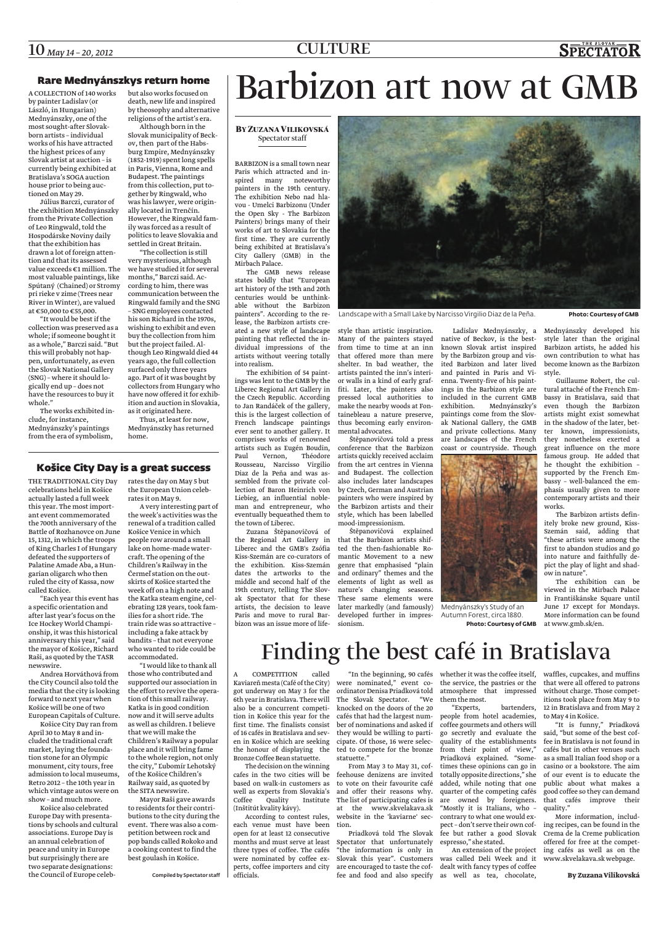## Rare Mednyánszkys return home

A COLLECTION of 140 works by painter Ladislav (or László, in Hungarian) Mednyánszky, one of the most sought-after Slovakborn artists – individual works of his have attracted the highest prices of any Slovak artist at auction – is currently being exhibited at Bratislava's SOGA auction house prior to being auctioned on May 29.

Július Barczi, curator of the exhibition Mednyánszky from the Private Collection of Leo Ringwald, told the Hospodárske Noviny daily that the exhibition has drawn a lot of foreign attention and that its assessed value exceeds  $\epsilon$ 1 million. The most valuable paintings, like Spútaný (Chained) or Stromy pri rieke v zime (Trees near River in Winter), are valued at €50,000 to €55,000.

"It would be best if the collection was preserved as a whole; if someone bought it as a whole," Barczi said. "But this will probably not happen, unfortunately, as even the Slovak National Gallery (SNG) – where it should logically end up – does not have the resources to buy it whole."

The works exhibited include, for instance, Mednyánszky's paintings from the era of symbolism,

but also works focused on death, new life and inspired by theosophy and alternative religions of the artist's era.

Although born in the Slovak municipality of Beckov, then part of the Habsburg Empire, Mednyánszky (1852-1919) spent long spells in Paris, Vienna, Rome and Budapest. The paintings from this collection, put together by Ringwald, who was his lawyer, were originally located in Trenčín. However, the Ringwald family was forced as a result of politics to leave Slovakia and settled in Great Britain.

"The collection is still very mysterious, although we have studied it for several months," Barczi said. According to him, there was communication between the Ringwald family and the SNG – SNG employees contacted his son Richard in the 1970s, wishing to exhibit and even buy the collection from him but the project failed. Although Leo Ringwald died 44 years ago, the full collection surfaced only three years ago. Part of it was bought by collectors from Hungary who have now offered it for exhibition and auction in Slovakia, as it originated here.

Thus, at least for now, Mednyánszky has returned home.

## Košice City Day is a great success

THE TRADITIONAL City Day celebrations held in Košice actually lasted a full week this year. The most important event commemorated the 700th anniversary of the Battle of Rozhanovce on June 15, 1312, in which the troops of King Charles I of Hungary defeated the supporters of Palatine Amade Aba, a Hungarian oligarch who then ruled the city of Kassa, now called Košice.

"Each year this event has a specific orientation and after last year's focus on the Ice Hockey World Championship, it was this historical anniversary this year," said the mayor of Košice, Richard Raši, as quoted by the TASR newswire.

Andrea Horváthová from the City Council also told the media that the city is looking forward to next year when Košice will be one of two

Košice City Day ran from April 30 to May 8 and included the traditional craft market, laying the foundation stone for an Olympic monument, city tours, free admission to local museums, Retro 2012 – the 10th year in which vintage autos were on show – and much more.

Košice also celebrated Europe Day with presentations by schools and cultural associations. Europe Day is an annual celebration of peace and unity in Europe but surprisingly there are two separate designations: the Council of Europe celebrates the day on May 5 but the European Union celebrates it on May 9.

A very interesting part of the week's activities was the renewal of a tradition called Košice Venice in which people row around a small lake on home-made watercraft. The opening of the Children's Railway in the Čermeľ station on the outskirts of Košice started the week off on a high note and the Katka steam engine, celebrating 128 years, took families for a short ride. The train ride was so attractive – including a fake attack by bandits – that not everyone who wanted to ride could be accommodated.

European Capitals of Culture. now and it will serve adults "I would like to thank all those who contributed and supported our association in the effort to revive the operation of this small railway. Katka is in good condition as well as children. I believe that we will make the Children's Railway a popular place and it will bring fame to the whole region, not only the city," Ľubomír Lehotský of the Košice Children's Railway said, as quoted by the SITA newswire.

> Mayor Raši gave awards to residents for their contributions to the city during the event. There was also a competition between rock and pop bands called Rokoko and a cooking contest to find the best goulash in Košice.

> > Compiled by Spectator staff

# Barbizon art now at GMB

## **BY ZUZANA VILIKOVSKÁ** Spectator staff

BARBIZON is a small town near Paris which attracted and inspired many noteworthy painters in the 19th century. The exhibition Nebo nad hlavou - Umelci Barbizonu (Under the Open Sky - The Barbizon Painters) brings many of their works of art to Slovakia for the first time. They are currently being exhibited at Bratislava's City Gallery (GMB) in the Mirbach Palace.

The GMB news release states boldly that "European art history of the 19th and 20th centuries would be unthinkable without the Barbizon painters". According to the release, the Barbizon artists created a new style of landscape painting that reflected the individual impressions of the artists without veering totally into realism.

The exhibition of 54 paintings was lent to the GMB by the Liberec Regional Art Gallery in the Czech Republic. According to Jan Randáček of the gallery, this is the largest collection of French landscape paintings ever sent to another gallery. It comprises works of renowned artists such as Eugén Boudin, Paul Vernon, Rousseau, Narcisso Virgilio Diaz de la Peňa and was assembled from the private collection of Baron Heinrich von Liebieg, an influential nobleman and entrepreneur, who eventually bequeathed them to the town of Liberec.

Zuzana Štěpanovičová of the Regional Art Gallery in Liberec and the GMB's Zsófia Kiss-Szemán are co-curators of the exhibition. Kiss-Szemán dates the artworks to the middle and second half of the 19th century, telling The Slovak Spectator that for these artists, the decision to leave Paris and move to rural Barbizon was an issue more of life-



Landscape with a Small Lake by Narcisso Virgilio Diaz de la Peňa. **Photo: Courtesy of GMB**

style than artistic inspiration. Many of the painters stayed from time to time at an inn that offered more than mere shelter. In bad weather, the artists painted the inn's interior walls in a kind of early graffiti. Later, the painters also pressed local authorities to make the nearby woods at Fontainebleau a nature preserve, thus becoming early environmental advocates.

Štěpanovičová told a press conference that the Barbizon artists quickly received acclaim from the art centres in Vienna and Budapest. The collection also includes later landscapes by Czech, German and Austrian painters who were inspired by the Barbizon artists and their style, which has been labelled mood-impressionism.

Štěpanovičová explained that the Barbizon artists shifted the then-fashionable Romantic Movement to a new genre that emphasised "plain and ordinary" themes and the elements of light as well as nature's changing seasons. These same elements were later markedly (and famously) developed further in impressionism.

Ladislav Mednyánszky, a native of Beckov, is the bestknown Slovak artist inspired by the Barbizon group and visited Barbizon and later lived and painted in Paris and Vienna. Twenty-five of his paintings in the Barbizon style are included in the current GMB<br>exhibition. Mednyánszky's Mednyánszky's paintings come from the Slovak National Gallery, the GMB and private collections. Many are landscapes of the French coast or countryside. Though



Mednyánszky's Study of an Autumn Forest, circa 1880. **Photo: Courtesy of GMB**

Mednyánszky developed his style later than the original Barbizon artists, he added his own contribution to what has become known as the Barbizon style.

Guillaume Robert, the cultural attaché of the French Embassy in Bratislava, said that even though the Barbizon artists might exist somewhat in the shadow of the later, better known, impressionists, they nonetheless exerted a great influence on the more famous group. He added that he thought the exhibition – supported by the French Embassy – well-balanced the emphasis usually given to more contemporary artists and their works.

The Barbizon artists definitely broke new ground, Kiss-Szemán said, adding that "these artists were among the first to abandon studios and go into nature and faithfully depict the play of light and shadow in nature".

The exhibition can be viewed in the Mirbach Palace in Františkánske Square until June 17 except for Mondays. More information can be found at www.gmb.sk/en.

# Finding the best café in Bratislava

A COMPETITION called Kaviareňmesta(Café of the City) 6th year in Bratislava. There will The Slovak Spectator. "We also be a concurrent competi-knocked on the doors of the 20 tion in Košice this year for the first time. The finalists consist ber of nominations and asked if of 16 cafés in Bratislava and sev-they would be willing to partien in Košice which are seeking cipate. Of those, 16 were selecthe honour of displaying the ted to compete for the bronze Bronze Coffee Bean statuette.

The decision on the winning cafes in the two cities will be based on walk-in customers as well as experts from Slovakia's (Inštitút kvality kávy).

According to contest rules, each venue must have been open for at least 12 consecutive months and must serve at least three types of coffee. The cafés were nominated by coffee experts, coffee importers and city officials.

got underway on May 3 for the ordinator Denisa Priadková told atmosphere that impressed were nominated," event cocafés that had the largest numstatuette."

Coffee Quality Institute The list of participating cafes is From May 3 to May 31, coffeehouse denizens are invited to vote on their favourite café and offer their reasons why. at the www.skvelakava.sk website in the 'kaviarne' section.

Priadková told The Slovak Spectator that unfortunately "the information is only in Slovak this year". Customers are encouraged to taste the cof-

"In the beginning, 90 cafés whether it was the coffee itself, the service, the pastries or the them themost.

> "Experts, bartenders, people from hotel academies, coffee gourmets and others will go secretly and evaluate the quality of the establishments fee in Bratislava is not found in from their point of view," Priadková explained. "Sometimes these opinions can go in totally opposite directions," she added, while noting that one quarter of the competing cafés are owned by foreigners. "Mostly it is Italians, who – contrary to what one would expect – don't serve their own coffee but rather a good Slovak espresso," she stated.

fee and food and also specify as well as tea, chocolate, An extension of the project was called Deli Week and it dealt with fancy types of coffee

waffles, cupcakes, and muffins that were all offered to patrons without charge. Those competitions took place from May 9 to 12 in Bratislava and from May 2 to May 4in Košice.

"It is funny," Priadková said, "but some of the best cofcafés but in other venues such as a small Italian food shop or a casino or a bookstore. The aim of our event is to educate the public about what makes a good coffee so they can demand that cafés improve their quality."

More information, including recipes, can be found in the Crema de la Creme publication offered for free at the competing cafés as well as on the www.skvelakava.sk webpage.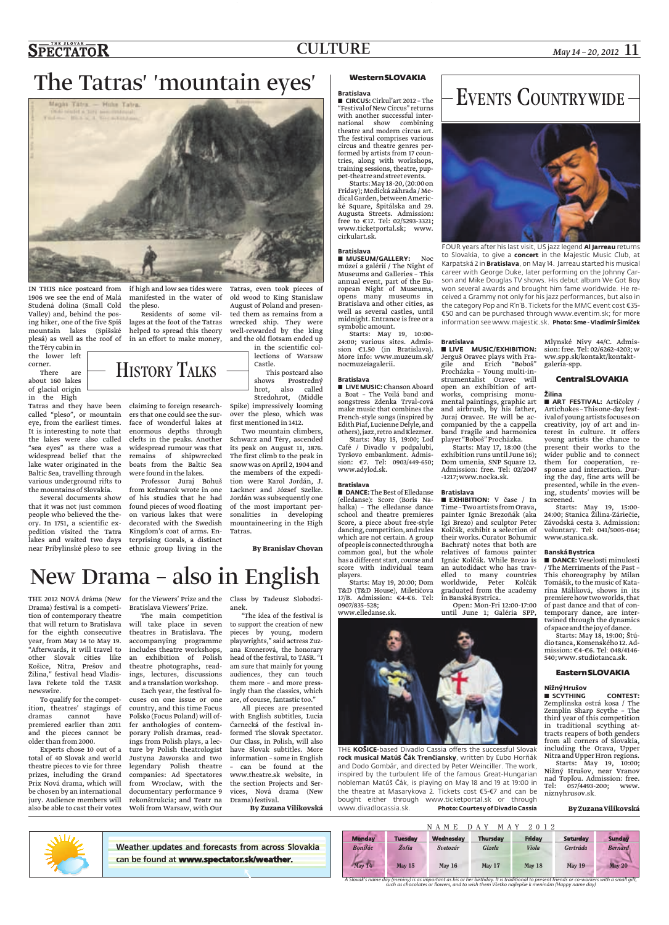# The Tatras' 'mountain eyes'



IN THIS nice postcard from if high and low sea tides were 1906 we see the end of Malá Studená dolina (Small Cold Valley) and, behind the posing hiker, one of the five Spiš mountain lakes (Spišské the Téry cabin in

the lower left corner. There are about 160 lakes of glacial origin in the High

Tatras and they have been claiming to foreign researchcalled "pleso", or mountain eye, from the earliest times. It is interesting to note that the lakes were also called "sea eyes" as there was a widespread belief that the lake water originated in the Baltic Sea, travelling through various underground rifts to the mountains of Slovakia.

Several documents show that it was not just common people who believed the theory. In 1751, a scientific expedition visited the Tatra lakes and waited two days near Pribylinské pleso to see ethnic group living in the

manifested in the water of the pleso.

plesá) as well as the roof of in an effort to make money, and the old flotsam ended up Residents of some villages at the foot of the Tatras helped to spread this theory

> ers that one could see the surface of wonderful lakes at enormous depths through clefts in the peaks. Another widespread rumour was that remains of shipwrecked boats from the Baltic Sea were found in the lakes.

**HISTORY TALKS** 

Professor Juraj Bohuš from Kežmarok wrote in one of his studies that he had found pieces of wood floating on various lakes that were decorated with the Swedish Kingdom's coat of arms. Enterprising Gorals, a distinct

Tatras, even took pieces of old wood to King Stanislaw August of Poland and presented them as remains from a wrecked ship. They were well-rewarded by the king in the scientific col-

lections of Warsaw Castle.

This postcard also shows Prostredný hrot, also called Stredohrot, (Middle Spike) impressively looming over the pleso, which was

first mentioned in 1412. Two mountain climbers, Schwarz and Téry, ascended

its peak on August 11, 1876. The first climb to the peak in snow was on April 2, 1904 and the members of the expedition were Karol Jordán, J. Lackner and József Szelke. Jordán was subsequently one of the most important personalities in developing mountaineering in the High Tatras.

**By Branislav Chovan**

## New Drama – also in English

THE 2012 NOVÁ dráma (New for the Viewers' Prize and the Class by Tadeusz Slobodzi-Drama) festival is a competition of contemporary theatre that will return to Bratislava for the eighth consecutive year, from May 14 to May 19. "Afterwards, it will travel to other Slovak cities like Košice, Nitra, Prešov and Žilina," festival head Vladislava Fekete told the TASR newswire.

To qualify for the competition, theatres' stagings of dramas cannot have premiered earlier than 2011 fer anthologies of contemand the pieces cannot be older than from 2000.

Experts chose 10 out total of 40 Slovak and world theatre pieces to vie for three prizes, including the Grand Prix Nová drama, which will be chosen by an international jury. Audience members will also be able to cast their votes Bratislava Viewers' Prize. The main competition will take place in seven

theatres in Bratislava. The accompanying programme includes theatre workshops, an exhibition of Polish theatre photographs, readings, lectures, discussions and a translation workshop.

Each year, the festival focuses on one issue or one country, and this time Focus Poľsko (Focus Poland) will ofporary Polish dramas, readings from Polish plays, a lec-Our Class, in Polish, will also ture by Polish theatrologist have Slovak subtitles. More Justyna Jaworska and two information – some in English legendary Polish theatre companies: Ad Spectatores from Wroclaw, with the documentary performance 9 rekonštrukcia; and Teatr na Woli from Warsaw, with Our

anek.

"The idea of the festival is to support the creation of new pieces by young, modern playwrights," said actress Zuzana Kronerová, the honorary head of the festival, to TASR. "I am sure that mainly for young audiences, they can touch them more – and more pressingly than the classics, which are, of course, fantastic too."

All pieces are presented with English subtitles, Lucia Čarnecká of the festival informed The Slovak Spectator. – can be found at the www.theatre.sk website, in the section Projects and Services, Nová drama (New Drama) festival.

**By Zuzana Vilikovská**

## WesternSLOVAKIA

## **Bratislava**

**E** CIRCUS: Cirkul'art 2012 - The "Festival of New Circus" returns with another successful international show combining theatre and modern circus art. The festival comprises various circus and theatre genres performed by artists from 17 countries, along with workshops, training sessions, theatre, puppet-theatre and street events.

Starts:May 18-20,(20:00on Friday); Medická záhrada/ MedicalGarden, betweenAmerické Square, Špitálska and 29. Augusta Streets. Admission: free to €17. Tel: 02/5293-3321; www.ticketportal.sk; www. cirkulart.sk.

## **Bratislava**

**MUSEUM/GALLERY:** Noc múzeí a galérií / The Night of Museums and Galleries – This annual event, part of the European Night of Museums, opens many museums in Bratislava and other cities, as well as several castles, until midnight. Entrance is free or a symbolic amount.

Starts: May 19, 10:00- 24:00; various sites. Admission €1.50 (in Bratislava). More info: www.muzeum.sk/ nocmuzeiagalerii.

## **Bratislava**

**LIVE MUSIC:** Chanson Aboard a Boat – The Voilá band and songstress Zdenka Trval-cová make music that combines the French-style songs (inspired by Edith Piaf, Lucienne Delyle, and

others), jazz, retro and Klezmer. Starts: May 15, 19:00; Loď Café / Divadlo v podpalubí, Tyršovo embankment. Admission: €7. Tel: 0903/449-650; www.adylod.sk.

## **Bratislava**

 $\blacksquare$  DANCE: The Best of Elledanse (elledanse): Score (Boris Nahalka) – The elledanse dance school and theatre premieres Score, a piece about free-style dancing, competition,and rules which are not certain. A group of peopleis connected through a common goal, but the whole has a different start, course and score with individual team

Starts: May 19, 20:00; Dom T&D (T&D House), Miletičova 17/B. Admission: €4-€6. Tel:



THE **KOŠICE**-based Divadlo Cassia offers the successful Slovak **rock musical Matúš Čák Trenčiansky**, written by Ľubo Horňák and Dodo Gombár, and directed by Peter Weinciller. The work, inspired by the turbulent life of the famous Great-Hungarian nobleman Matúš Čák, is playing on May 18 and 19 at 19:00 in the theatre at Masarykova 2. Tickets cost €5-€7 and can be bought either through www.ticketportal.sk or through<br>www.divadlocassia.sk. **Photo:Courtesy of Divadlo Cassia Photo: Courtesy of Divadlo Cassia** 

# EVENTS COUNTRYWIDE-



FOUR years after his last visit, US jazz legend **Al Jarreau** returns to Slovakia, to give a **concert** in the Majestic Music Club, at Karpatská 2 in **Bratislava**, on May 14. Jarreau started his musical career with George Duke, later performing on the Johnny Carson and Mike Douglas TV shows. His debut album We Got Boy won several awards and brought him fame worldwide. He received a Grammy not only for his jazz performances, but also in the category Pop and R'n'B. Tickets for the MMC event cost €35- €50 and can be purchased through www.eventim.sk; for more information see www.majestic.sk. **Photo: Sme - Vladimír Šimíček**

### **Bratislava**

**LIVE MUSIC/EXHIBITION:** Jerguš Oravec plays with Fragile and Erich "Boboš" Procházka – Young multi-instrumentalist Oravec will open an exhibition of artworks, comprising monumental paintings, graphic art and airbrush, by his father, Juraj Oravec. He will be accompanied by the a cappella band Fragile and harmonica player "Boboš"Procházka.

Starts: May 17, 18:00 (the exhibition runs until June 16); Dom umenia, SNP Square 12. Admission: free. Tel: 02/2047 -1217;www.nocka.sk.

## **Bratislava**

**EXHIBITION:** V čase / In Time - Two artists from Orava, painter Ignác Brezoňák (aka Igi Brezo) and sculptor Peter Kolčák, exhibit a selection of their works. Curator Bohumír Bachratý notes that both are relatives of famous painter Ignác Kolčák. While Brezo is an autodidact who has travelled to many countries worldwide, Peter Kolčák graduated from the academy in Banská Bystrica. Open: Mon-Fri 12:00-17:00

until June 1; Galéria SPP,



## CentralSLOVAKIA

**Žilina ART FESTIVAL: Artičoky /** Artichokes – Thisone-day festival of young artists focuses on creativity, joy of art and interest in culture. It offers young artists the chance to present their works to the wider public and to connect them for cooperation, response and interaction. During the day, fine arts will be presented, while in the evening, students' movies will be screened.

Starts: May 19, 15:00- 24:00; Stanica Žilina-Záriečie, Závodská cesta 3. Admission: voluntary. Tel: 041/5005-064; www.stanica.sk.

### **BanskáBystrica**

**DANCE:** Veselosti minulosti / The Merriments of the Past – This choreography by Milan Tomášik, to the music of Katarína Máliková, shows in its premierehow twoworlds, that of past dance and that of contemporary dance, are intertwined through the dynamics of spaceand thejoyof dance.

Starts: May 18, 19:00; Štúdio tanca, Komenského 12. Admission: €4-€6. Tel: 048/4146- 540;www. studiotanca.sk.

## EasternSLOVAKIA

## **NižnýHrušov**

l **SCYTHING CONTEST:** Zemplínska ostrá kosa / The Zemplín Sharp Scythe – The third year of this competition in traditional scything attracts reapers of both genders from all corners of Slovakia, including the Orava, Upper NitraandUpperHron regions.

Starts: May 19, 10:00; Nižný Hrušov, near Vranov nad Topľou. Admission: free.<br>Tel: 057/4493-200: www.  $057/4493 - 200$ ; www. niznyhrusov.sk.

**By ZuzanaVilikovská**



**Weather updates and forecasts from across Slovakia can be found at** www.spectator.sk/weather**.**



players. 0907/835–528;

www.elledanse.sk.